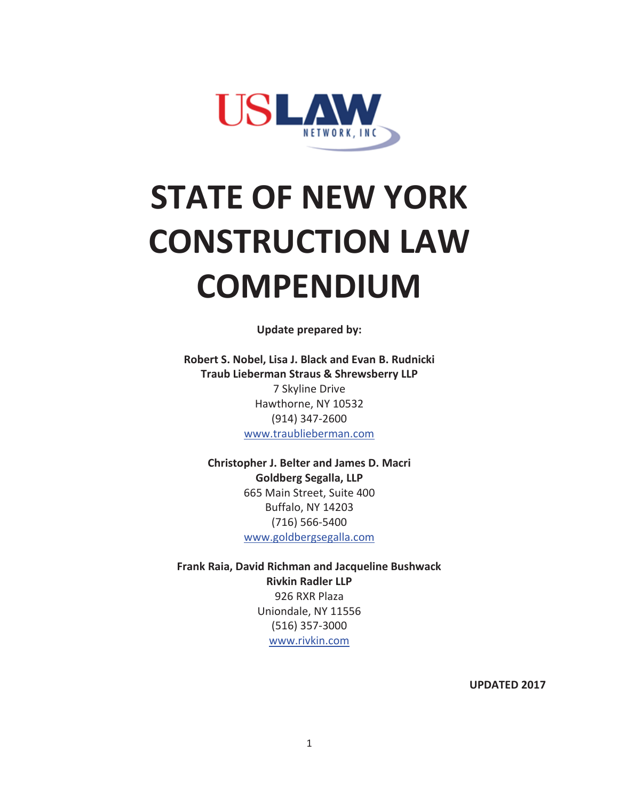

# **STATE OF NEW YORK CONSTRUCTION LAW COMPENDIUM**

**Update prepared by:** 

**Robert S. Nobel, Lisa J. Black and Evan B. Rudnicki Traub Lieberman Straus & Shrewsberry LLP**  7 Skyline Drive Hawthorne, NY 10532 (914) 347-2600 www.traublieberman.com

**Christopher J. Belter and James D. Macri Goldberg Segalla, LLP**  665 Main Street, Suite 400 Buffalo, NY 14203 (716) 566-5400 www.goldbergsegalla.com

**Frank Raia, David Richman and Jacqueline Bushwack Rivkin Radler LLP** 926 RXR Plaza Uniondale, NY 11556 (516) 357-3000 www.rivkin.com

**UPDATED 2017**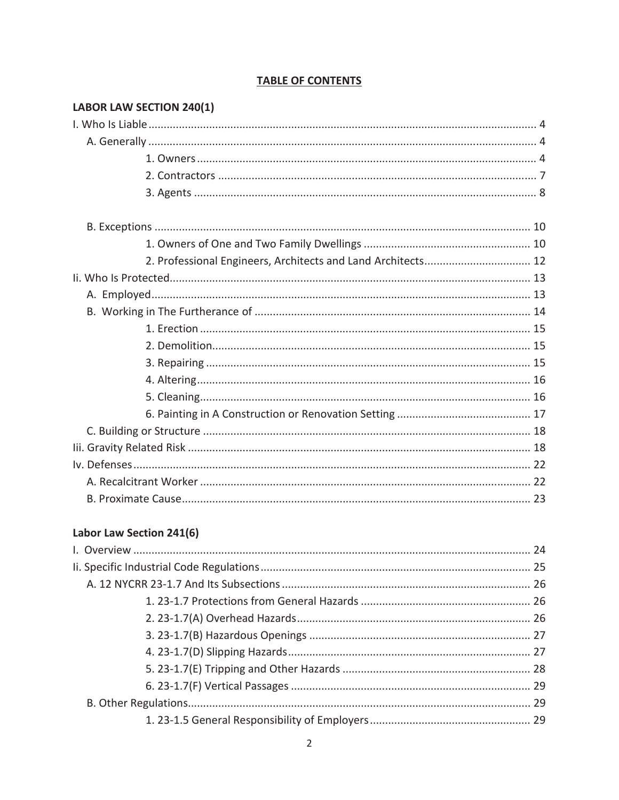| <b>LABOR LAW SECTION 240(1)</b>                              |  |
|--------------------------------------------------------------|--|
|                                                              |  |
|                                                              |  |
|                                                              |  |
|                                                              |  |
|                                                              |  |
|                                                              |  |
|                                                              |  |
| 2. Professional Engineers, Architects and Land Architects 12 |  |
|                                                              |  |
|                                                              |  |
|                                                              |  |
|                                                              |  |
|                                                              |  |
|                                                              |  |
|                                                              |  |
|                                                              |  |
|                                                              |  |
|                                                              |  |
|                                                              |  |
|                                                              |  |
|                                                              |  |
|                                                              |  |

# **TABLE OF CONTENTS**

# Labor Law Section 241(6)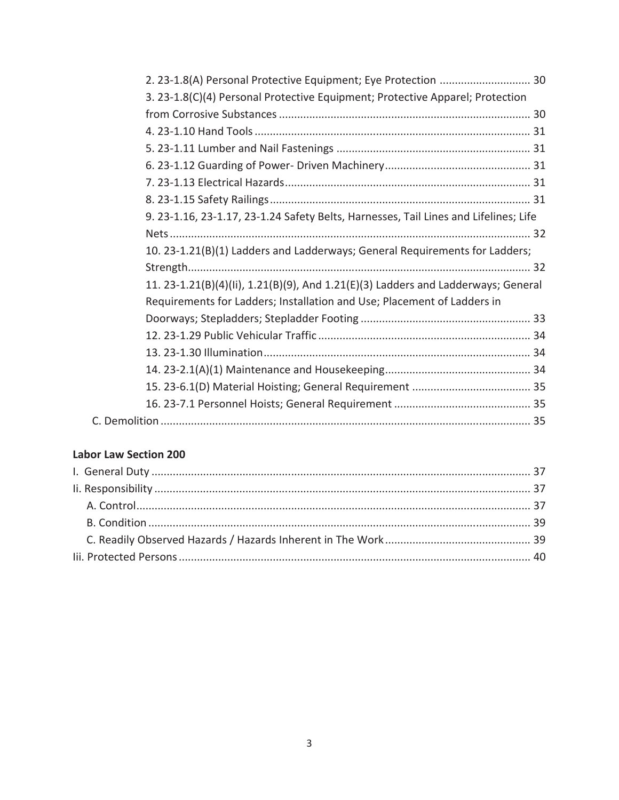| 3. 23-1.8(C)(4) Personal Protective Equipment; Protective Apparel; Protection        |  |
|--------------------------------------------------------------------------------------|--|
|                                                                                      |  |
|                                                                                      |  |
|                                                                                      |  |
|                                                                                      |  |
|                                                                                      |  |
|                                                                                      |  |
| 9. 23-1.16, 23-1.17, 23-1.24 Safety Belts, Harnesses, Tail Lines and Lifelines; Life |  |
|                                                                                      |  |
| 10. 23-1.21(B)(1) Ladders and Ladderways; General Requirements for Ladders;          |  |
|                                                                                      |  |
| 11. 23-1.21(B)(4)(Ii), 1.21(B)(9), And 1.21(E)(3) Ladders and Ladderways; General    |  |
| Requirements for Ladders; Installation and Use; Placement of Ladders in              |  |
|                                                                                      |  |
|                                                                                      |  |
|                                                                                      |  |
|                                                                                      |  |
|                                                                                      |  |
|                                                                                      |  |
|                                                                                      |  |

## **Labor Law Section 200**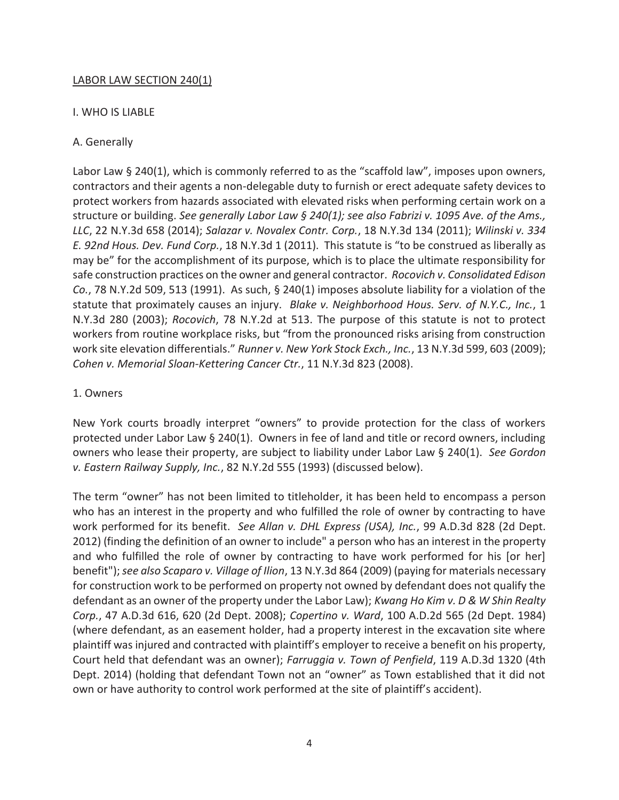## LABOR LAW SECTION 240(1)

#### I. WHO IS LIABLE

### A. Generally

Labor Law § 240(1), which is commonly referred to as the "scaffold law", imposes upon owners, contractors and their agents a non-delegable duty to furnish or erect adequate safety devices to protect workers from hazards associated with elevated risks when performing certain work on a structure or building. *See generally Labor Law § 240(1); see also Fabrizi v. 1095 Ave. of the Ams., LLC*, 22 N.Y.3d 658 (2014); *Salazar v. Novalex Contr. Corp.*, 18 N.Y.3d 134 (2011); *Wilinski v. 334 E. 92nd Hous. Dev. Fund Corp.*, 18 N.Y.3d 1 (2011). This statute is "to be construed as liberally as may be" for the accomplishment of its purpose, which is to place the ultimate responsibility for safe construction practices on the owner and general contractor. *Rocovich v. Consolidated Edison Co.*, 78 N.Y.2d 509, 513 (1991). As such, § 240(1) imposes absolute liability for a violation of the statute that proximately causes an injury. *Blake v. Neighborhood Hous. Serv. of N.Y.C., Inc.*, 1 N.Y.3d 280 (2003); *Rocovich*, 78 N.Y.2d at 513. The purpose of this statute is not to protect workers from routine workplace risks, but "from the pronounced risks arising from construction work site elevation differentials." *Runner v. New York Stock Exch., Inc.*, 13 N.Y.3d 599, 603 (2009); *Cohen v. Memorial Sloan-Kettering Cancer Ctr.*, 11 N.Y.3d 823 (2008).

#### 1. Owners

New York courts broadly interpret "owners" to provide protection for the class of workers protected under Labor Law § 240(1). Owners in fee of land and title or record owners, including owners who lease their property, are subject to liability under Labor Law § 240(1). *See Gordon v. Eastern Railway Supply, Inc.*, 82 N.Y.2d 555 (1993) (discussed below).

The term "owner" has not been limited to titleholder, it has been held to encompass a person who has an interest in the property and who fulfilled the role of owner by contracting to have work performed for its benefit. *See Allan v. DHL Express (USA), Inc.*, 99 A.D.3d 828 (2d Dept. 2012) (finding the definition of an owner to include" a person who has an interest in the property and who fulfilled the role of owner by contracting to have work performed for his [or her] benefit"); *see also Scaparo v. Village of Ilion*, 13 N.Y.3d 864 (2009) (paying for materials necessary for construction work to be performed on property not owned by defendant does not qualify the defendant as an owner of the property under the Labor Law); *Kwang Ho Kim v. D & W Shin Realty Corp.*, 47 A.D.3d 616, 620 (2d Dept. 2008); *Copertino v. Ward*, 100 A.D.2d 565 (2d Dept. 1984) (where defendant, as an easement holder, had a property interest in the excavation site where plaintiff was injured and contracted with plaintiff's employer to receive a benefit on his property, Court held that defendant was an owner); *Farruggia v. Town of Penfield*, 119 A.D.3d 1320 (4th Dept. 2014) (holding that defendant Town not an "owner" as Town established that it did not own or have authority to control work performed at the site of plaintiff's accident).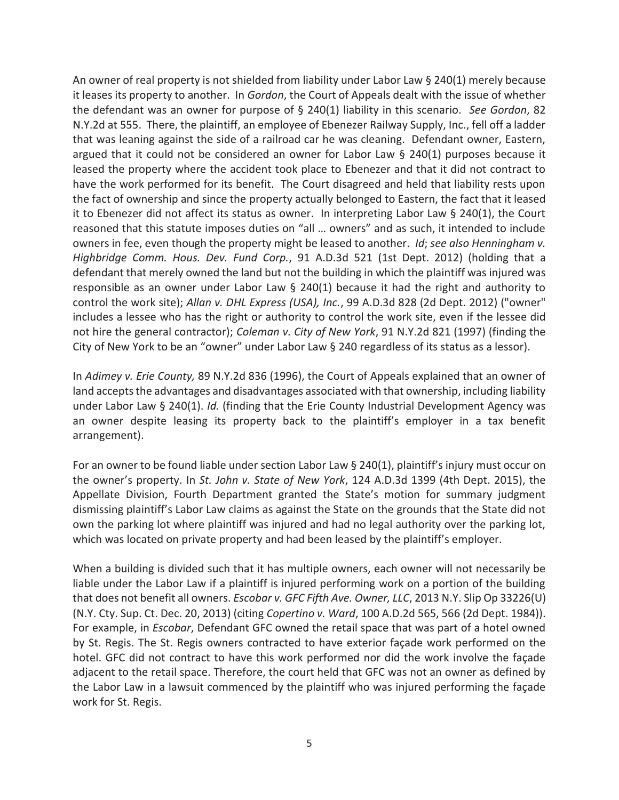An owner of real property is not shielded from liability under Labor Law § 240(1) merely because it leases its property to another. In *Gordon*, the Court of Appeals dealt with the issue of whether the defendant was an owner for purpose of § 240(1) liability in this scenario. *See Gordon*, 82 N.Y.2d at 555. There, the plaintiff, an employee of Ebenezer Railway Supply, Inc., fell off a ladder that was leaning against the side of a railroad car he was cleaning. Defendant owner, Eastern, argued that it could not be considered an owner for Labor Law § 240(1) purposes because it leased the property where the accident took place to Ebenezer and that it did not contract to have the work performed for its benefit. The Court disagreed and held that liability rests upon the fact of ownership and since the property actually belonged to Eastern, the fact that it leased it to Ebenezer did not affect its status as owner. In interpreting Labor Law § 240(1), the Court reasoned that this statute imposes duties on "all … owners" and as such, it intended to include owners in fee, even though the property might be leased to another. *Id*; *see also Henningham v. Highbridge Comm. Hous. Dev. Fund Corp.*, 91 A.D.3d 521 (1st Dept. 2012) (holding that a defendant that merely owned the land but not the building in which the plaintiff was injured was responsible as an owner under Labor Law  $\S$  240(1) because it had the right and authority to control the work site); *Allan v. DHL Express (USA), Inc.*, 99 A.D.3d 828 (2d Dept. 2012) ("owner" includes a lessee who has the right or authority to control the work site, even if the lessee did not hire the general contractor); *Coleman v. City of New York*, 91 N.Y.2d 821 (1997) (finding the City of New York to be an "owner" under Labor Law § 240 regardless of its status as a lessor).

In *Adimey v. Erie County,* 89 N.Y.2d 836 (1996), the Court of Appeals explained that an owner of land accepts the advantages and disadvantages associated with that ownership, including liability under Labor Law § 240(1). *Id.* (finding that the Erie County Industrial Development Agency was an owner despite leasing its property back to the plaintiff's employer in a tax benefit arrangement).

For an owner to be found liable under section Labor Law § 240(1), plaintiff's injury must occur on the owner's property. In *St. John v. State of New York*, 124 A.D.3d 1399 (4th Dept. 2015), the Appellate Division, Fourth Department granted the State's motion for summary judgment dismissing plaintiff's Labor Law claims as against the State on the grounds that the State did not own the parking lot where plaintiff was injured and had no legal authority over the parking lot, which was located on private property and had been leased by the plaintiff's employer.

When a building is divided such that it has multiple owners, each owner will not necessarily be liable under the Labor Law if a plaintiff is injured performing work on a portion of the building that does not benefit all owners. *Escobar v. GFC Fifth Ave. Owner, LLC*, 2013 N.Y. Slip Op 33226(U) (N.Y. Cty. Sup. Ct. Dec. 20, 2013) (citing *Copertino v. Ward*, 100 A.D.2d 565, 566 (2d Dept. 1984)). For example, in *Escobar*, Defendant GFC owned the retail space that was part of a hotel owned by St. Regis. The St. Regis owners contracted to have exterior façade work performed on the hotel. GFC did not contract to have this work performed nor did the work involve the façade adjacent to the retail space. Therefore, the court held that GFC was not an owner as defined by the Labor Law in a lawsuit commenced by the plaintiff who was injured performing the façade work for St. Regis.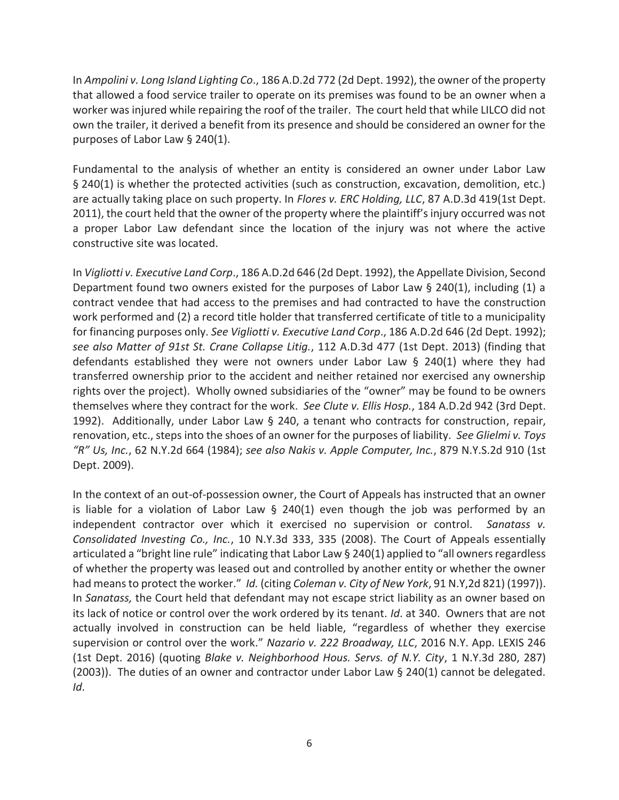In *Ampolini v. Long Island Lighting Co*., 186 A.D.2d 772 (2d Dept. 1992), the owner of the property that allowed a food service trailer to operate on its premises was found to be an owner when a worker was injured while repairing the roof of the trailer. The court held that while LILCO did not own the trailer, it derived a benefit from its presence and should be considered an owner for the purposes of Labor Law § 240(1).

Fundamental to the analysis of whether an entity is considered an owner under Labor Law § 240(1) is whether the protected activities (such as construction, excavation, demolition, etc.) are actually taking place on such property. In *Flores v. ERC Holding, LLC*, 87 A.D.3d 419(1st Dept. 2011), the court held that the owner of the property where the plaintiff's injury occurred was not a proper Labor Law defendant since the location of the injury was not where the active constructive site was located.

In *Vigliotti v. Executive Land Corp*., 186 A.D.2d 646 (2d Dept. 1992), the Appellate Division, Second Department found two owners existed for the purposes of Labor Law § 240(1), including (1) a contract vendee that had access to the premises and had contracted to have the construction work performed and (2) a record title holder that transferred certificate of title to a municipality for financing purposes only. *See Vigliotti v. Executive Land Corp*., 186 A.D.2d 646 (2d Dept. 1992); *see also Matter of 91st St. Crane Collapse Litig.*, 112 A.D.3d 477 (1st Dept. 2013) (finding that defendants established they were not owners under Labor Law § 240(1) where they had transferred ownership prior to the accident and neither retained nor exercised any ownership rights over the project). Wholly owned subsidiaries of the "owner" may be found to be owners themselves where they contract for the work. *See Clute v. Ellis Hosp.*, 184 A.D.2d 942 (3rd Dept. 1992). Additionally, under Labor Law § 240, a tenant who contracts for construction, repair, renovation, etc., steps into the shoes of an owner for the purposes of liability. *See Glielmi v. Toys "R" Us, Inc.*, 62 N.Y.2d 664 (1984); *see also Nakis v. Apple Computer, Inc.*, 879 N.Y.S.2d 910 (1st Dept. 2009).

In the context of an out-of-possession owner, the Court of Appeals has instructed that an owner is liable for a violation of Labor Law  $\S$  240(1) even though the job was performed by an independent contractor over which it exercised no supervision or control. *Sanatass v. Consolidated Investing Co., Inc.*, 10 N.Y.3d 333, 335 (2008). The Court of Appeals essentially articulated a "bright line rule" indicating that Labor Law § 240(1) applied to "all owners regardless of whether the property was leased out and controlled by another entity or whether the owner had means to protect the worker." *Id.* (citing *Coleman v. City of New York*, 91 N.Y,2d 821) (1997)). In *Sanatass,* the Court held that defendant may not escape strict liability as an owner based on its lack of notice or control over the work ordered by its tenant. *Id*. at 340. Owners that are not actually involved in construction can be held liable, "regardless of whether they exercise supervision or control over the work." *Nazario v. 222 Broadway, LLC*, 2016 N.Y. App. LEXIS 246 (1st Dept. 2016) (quoting *Blake v. Neighborhood Hous. Servs. of N.Y. City*, 1 N.Y.3d 280, 287) (2003)). The duties of an owner and contractor under Labor Law § 240(1) cannot be delegated. *Id*.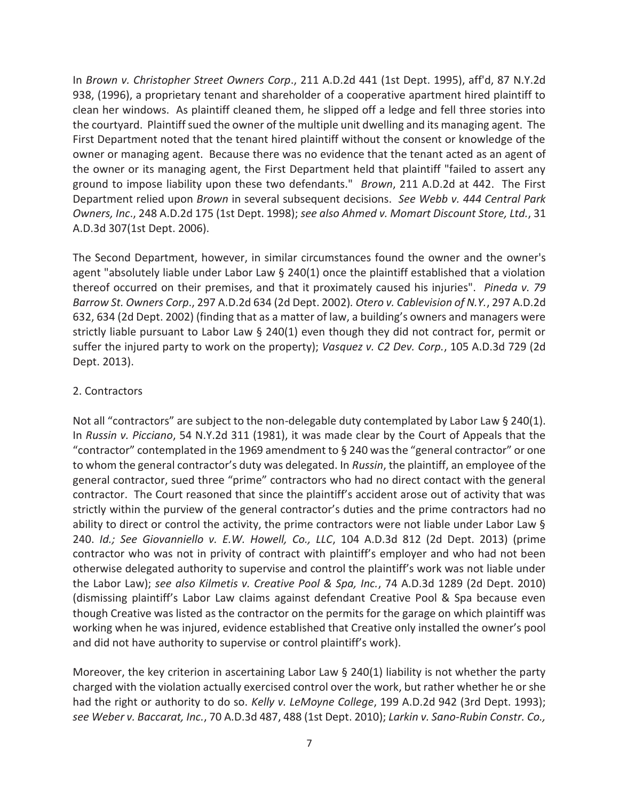In *Brown v. Christopher Street Owners Corp*., 211 A.D.2d 441 (1st Dept. 1995), aff'd, 87 N.Y.2d 938, (1996), a proprietary tenant and shareholder of a cooperative apartment hired plaintiff to clean her windows. As plaintiff cleaned them, he slipped off a ledge and fell three stories into the courtyard. Plaintiff sued the owner of the multiple unit dwelling and its managing agent. The First Department noted that the tenant hired plaintiff without the consent or knowledge of the owner or managing agent. Because there was no evidence that the tenant acted as an agent of the owner or its managing agent, the First Department held that plaintiff "failed to assert any ground to impose liability upon these two defendants." *Brown*, 211 A.D.2d at 442. The First Department relied upon *Brown* in several subsequent decisions. *See Webb v. 444 Central Park Owners, Inc*., 248 A.D.2d 175 (1st Dept. 1998); *see also Ahmed v. Momart Discount Store, Ltd.*, 31 A.D.3d 307(1st Dept. 2006).

The Second Department, however, in similar circumstances found the owner and the owner's agent "absolutely liable under Labor Law  $\S$  240(1) once the plaintiff established that a violation thereof occurred on their premises, and that it proximately caused his injuries". *Pineda v. 79 Barrow St. Owners Corp*., 297 A.D.2d 634 (2d Dept. 2002)*. Otero v. Cablevision of N.Y.*, 297 A.D.2d 632, 634 (2d Dept. 2002) (finding that as a matter of law, a building's owners and managers were strictly liable pursuant to Labor Law § 240(1) even though they did not contract for, permit or suffer the injured party to work on the property); *Vasquez v. C2 Dev. Corp.*, 105 A.D.3d 729 (2d Dept. 2013).

## 2. Contractors

Not all "contractors" are subject to the non-delegable duty contemplated by Labor Law § 240(1). In *Russin v. Picciano*, 54 N.Y.2d 311 (1981), it was made clear by the Court of Appeals that the "contractor" contemplated in the 1969 amendment to  $\S$  240 was the "general contractor" or one to whom the general contractor's duty was delegated. In *Russin*, the plaintiff, an employee of the general contractor, sued three "prime" contractors who had no direct contact with the general contractor. The Court reasoned that since the plaintiff's accident arose out of activity that was strictly within the purview of the general contractor's duties and the prime contractors had no ability to direct or control the activity, the prime contractors were not liable under Labor Law § 240. *Id.; See Giovanniello v. E.W. Howell, Co., LLC*, 104 A.D.3d 812 (2d Dept. 2013) (prime contractor who was not in privity of contract with plaintiff's employer and who had not been otherwise delegated authority to supervise and control the plaintiff's work was not liable under the Labor Law); *see also Kilmetis v. Creative Pool & Spa, Inc.*, 74 A.D.3d 1289 (2d Dept. 2010) (dismissing plaintiff's Labor Law claims against defendant Creative Pool & Spa because even though Creative was listed as the contractor on the permits for the garage on which plaintiff was working when he was injured, evidence established that Creative only installed the owner's pool and did not have authority to supervise or control plaintiff's work).

Moreover, the key criterion in ascertaining Labor Law  $\S$  240(1) liability is not whether the party charged with the violation actually exercised control over the work, but rather whether he or she had the right or authority to do so. *Kelly v. LeMoyne College*, 199 A.D.2d 942 (3rd Dept. 1993); *see Weber v. Baccarat, Inc.*, 70 A.D.3d 487, 488 (1st Dept. 2010); *Larkin v. Sano-Rubin Constr. Co.,*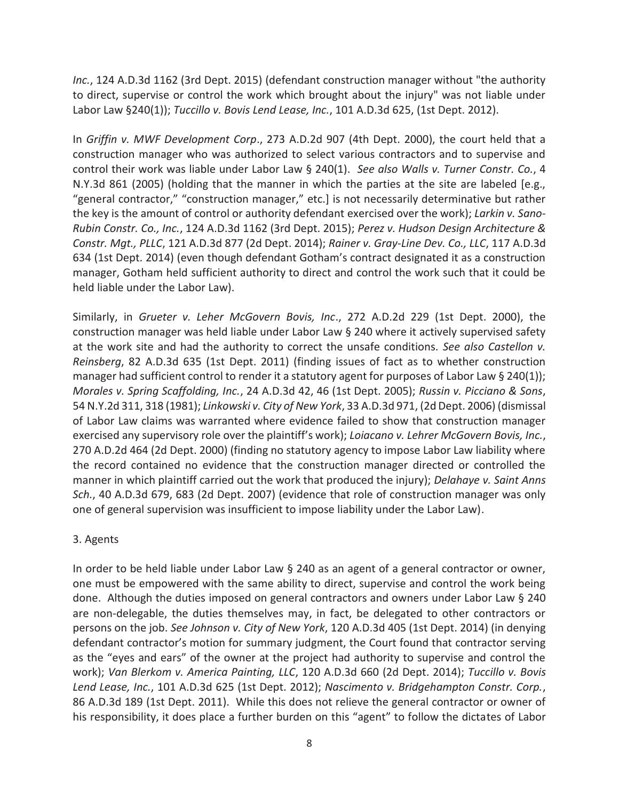*Inc.*, 124 A.D.3d 1162 (3rd Dept. 2015) (defendant construction manager without "the authority to direct, supervise or control the work which brought about the injury" was not liable under Labor Law §240(1)); *Tuccillo v. Bovis Lend Lease, Inc.*, 101 A.D.3d 625, (1st Dept. 2012).

In *Griffin v. MWF Development Corp*., 273 A.D.2d 907 (4th Dept. 2000), the court held that a construction manager who was authorized to select various contractors and to supervise and control their work was liable under Labor Law § 240(1). *See also Walls v. Turner Constr. Co.*, 4 N.Y.3d 861 (2005) (holding that the manner in which the parties at the site are labeled [e.g., "general contractor," "construction manager," etc.] is not necessarily determinative but rather the key is the amount of control or authority defendant exercised over the work); *Larkin v. Sano-Rubin Constr. Co., Inc.*, 124 A.D.3d 1162 (3rd Dept. 2015); *Perez v. Hudson Design Architecture & Constr. Mgt., PLLC*, 121 A.D.3d 877 (2d Dept. 2014); *Rainer v. Gray-Line Dev. Co., LLC*, 117 A.D.3d 634 (1st Dept. 2014) (even though defendant Gotham's contract designated it as a construction manager, Gotham held sufficient authority to direct and control the work such that it could be held liable under the Labor Law).

Similarly, in *Grueter v. Leher McGovern Bovis, Inc*., 272 A.D.2d 229 (1st Dept. 2000), the construction manager was held liable under Labor Law § 240 where it actively supervised safety at the work site and had the authority to correct the unsafe conditions. *See also Castellon v. Reinsberg*, 82 A.D.3d 635 (1st Dept. 2011) (finding issues of fact as to whether construction manager had sufficient control to render it a statutory agent for purposes of Labor Law § 240(1)); *Morales v. Spring Scaffolding, Inc.*, 24 A.D.3d 42, 46 (1st Dept. 2005); *Russin v. Picciano & Sons*, 54 N.Y.2d 311, 318 (1981); *Linkowski v. City of New York*, 33 A.D.3d 971, (2d Dept. 2006) (dismissal of Labor Law claims was warranted where evidence failed to show that construction manager exercised any supervisory role over the plaintiff's work); *Loiacano v. Lehrer McGovern Bovis, Inc.*, 270 A.D.2d 464 (2d Dept. 2000) (finding no statutory agency to impose Labor Law liability where the record contained no evidence that the construction manager directed or controlled the manner in which plaintiff carried out the work that produced the injury); *Delahaye v. Saint Anns Sch.*, 40 A.D.3d 679, 683 (2d Dept. 2007) (evidence that role of construction manager was only one of general supervision was insufficient to impose liability under the Labor Law).

## 3. Agents

In order to be held liable under Labor Law § 240 as an agent of a general contractor or owner, one must be empowered with the same ability to direct, supervise and control the work being done. Although the duties imposed on general contractors and owners under Labor Law § 240 are non-delegable, the duties themselves may, in fact, be delegated to other contractors or persons on the job. *See Johnson v. City of New York*, 120 A.D.3d 405 (1st Dept. 2014) (in denying defendant contractor's motion for summary judgment, the Court found that contractor serving as the "eyes and ears" of the owner at the project had authority to supervise and control the work); *Van Blerkom v. America Painting, LLC*, 120 A.D.3d 660 (2d Dept. 2014); *Tuccillo v. Bovis Lend Lease, Inc.*, 101 A.D.3d 625 (1st Dept. 2012); *Nascimento v. Bridgehampton Constr. Corp.*, 86 A.D.3d 189 (1st Dept. 2011). While this does not relieve the general contractor or owner of his responsibility, it does place a further burden on this "agent" to follow the dictates of Labor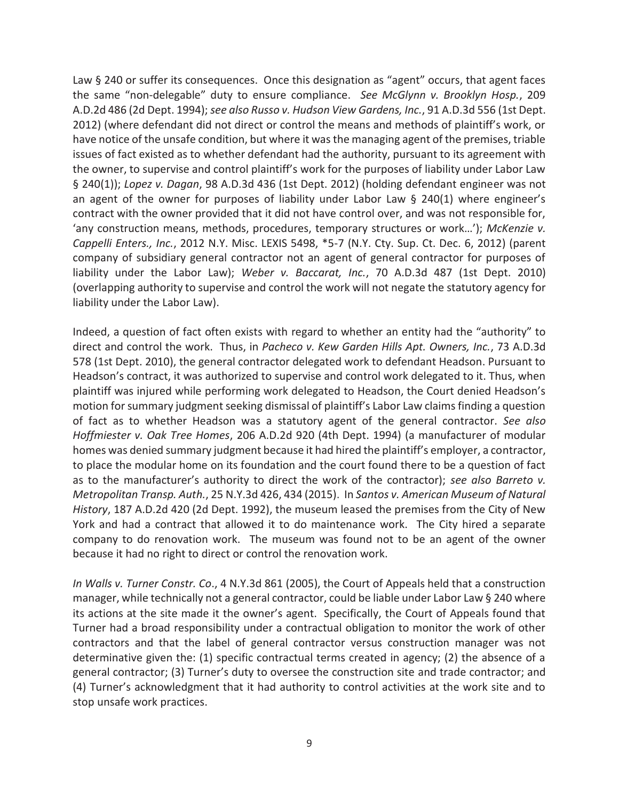Law § 240 or suffer its consequences. Once this designation as "agent" occurs, that agent faces the same "non-delegable" duty to ensure compliance. *See McGlynn v. Brooklyn Hosp.*, 209 A.D.2d 486 (2d Dept. 1994); *see also Russo v. Hudson View Gardens, Inc.*, 91 A.D.3d 556 (1st Dept. 2012) (where defendant did not direct or control the means and methods of plaintiff's work, or have notice of the unsafe condition, but where it was the managing agent of the premises, triable issues of fact existed as to whether defendant had the authority, pursuant to its agreement with the owner, to supervise and control plaintiff's work for the purposes of liability under Labor Law § 240(1)); *Lopez v. Dagan*, 98 A.D.3d 436 (1st Dept. 2012) (holding defendant engineer was not an agent of the owner for purposes of liability under Labor Law § 240(1) where engineer's contract with the owner provided that it did not have control over, and was not responsible for, 'any construction means, methods, procedures, temporary structures or work…'); *McKenzie v. Cappelli Enters., Inc.*, 2012 N.Y. Misc. LEXIS 5498, \*5-7 (N.Y. Cty. Sup. Ct. Dec. 6, 2012) (parent company of subsidiary general contractor not an agent of general contractor for purposes of liability under the Labor Law); *Weber v. Baccarat, Inc.*, 70 A.D.3d 487 (1st Dept. 2010) (overlapping authority to supervise and control the work will not negate the statutory agency for liability under the Labor Law).

Indeed, a question of fact often exists with regard to whether an entity had the "authority" to direct and control the work. Thus, in *Pacheco v. Kew Garden Hills Apt. Owners, Inc.*, 73 A.D.3d 578 (1st Dept. 2010), the general contractor delegated work to defendant Headson. Pursuant to Headson's contract, it was authorized to supervise and control work delegated to it. Thus, when plaintiff was injured while performing work delegated to Headson, the Court denied Headson's motion for summary judgment seeking dismissal of plaintiff's Labor Law claims finding a question of fact as to whether Headson was a statutory agent of the general contractor. *See also Hoffmiester v. Oak Tree Homes*, 206 A.D.2d 920 (4th Dept. 1994) (a manufacturer of modular homes was denied summary judgment because it had hired the plaintiff's employer, a contractor, to place the modular home on its foundation and the court found there to be a question of fact as to the manufacturer's authority to direct the work of the contractor); *see also Barreto v. Metropolitan Transp. Auth.*, 25 N.Y.3d 426, 434 (2015). In *Santos v. American Museum of Natural History*, 187 A.D.2d 420 (2d Dept. 1992), the museum leased the premises from the City of New York and had a contract that allowed it to do maintenance work. The City hired a separate company to do renovation work. The museum was found not to be an agent of the owner because it had no right to direct or control the renovation work.

*In Walls v. Turner Constr. Co*., 4 N.Y.3d 861 (2005), the Court of Appeals held that a construction manager, while technically not a general contractor, could be liable under Labor Law § 240 where its actions at the site made it the owner's agent. Specifically, the Court of Appeals found that Turner had a broad responsibility under a contractual obligation to monitor the work of other contractors and that the label of general contractor versus construction manager was not determinative given the: (1) specific contractual terms created in agency; (2) the absence of a general contractor; (3) Turner's duty to oversee the construction site and trade contractor; and (4) Turner's acknowledgment that it had authority to control activities at the work site and to stop unsafe work practices.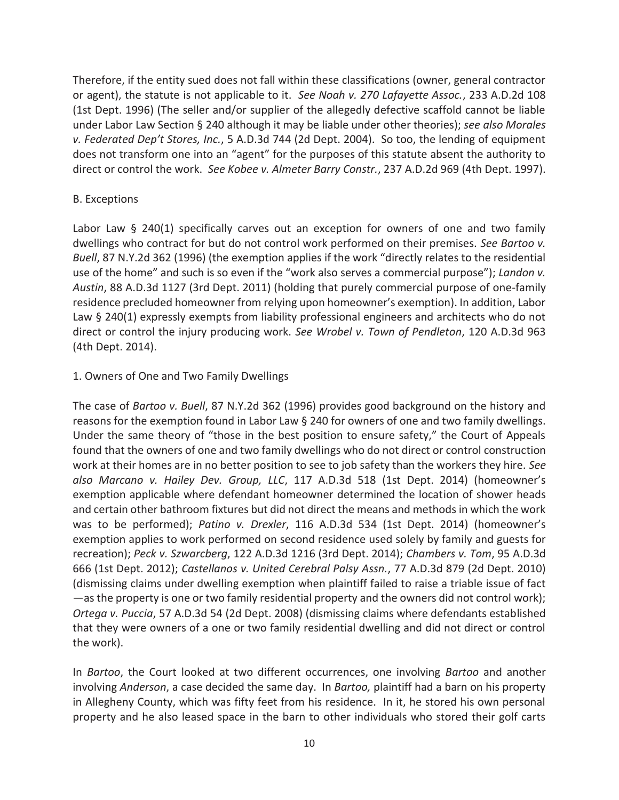Therefore, if the entity sued does not fall within these classifications (owner, general contractor or agent), the statute is not applicable to it. *See Noah v. 270 Lafayette Assoc.*, 233 A.D.2d 108 (1st Dept. 1996) (The seller and/or supplier of the allegedly defective scaffold cannot be liable under Labor Law Section § 240 although it may be liable under other theories); *see also Morales v. Federated Dep't Stores, Inc.*, 5 A.D.3d 744 (2d Dept. 2004). So too, the lending of equipment does not transform one into an "agent" for the purposes of this statute absent the authority to direct or control the work. *See Kobee v. Almeter Barry Constr.*, 237 A.D.2d 969 (4th Dept. 1997).

### B. Exceptions

Labor Law § 240(1) specifically carves out an exception for owners of one and two family dwellings who contract for but do not control work performed on their premises. *See Bartoo v. Buell*, 87 N.Y.2d 362 (1996) (the exemption applies if the work "directly relates to the residential use of the home" and such is so even if the "work also serves a commercial purpose"); *Landon v. Austin*, 88 A.D.3d 1127 (3rd Dept. 2011) (holding that purely commercial purpose of one-family residence precluded homeowner from relying upon homeowner's exemption). In addition, Labor Law § 240(1) expressly exempts from liability professional engineers and architects who do not direct or control the injury producing work. *See Wrobel v. Town of Pendleton*, 120 A.D.3d 963 (4th Dept. 2014).

## 1. Owners of One and Two Family Dwellings

The case of *Bartoo v. Buell*, 87 N.Y.2d 362 (1996) provides good background on the history and reasons for the exemption found in Labor Law § 240 for owners of one and two family dwellings. Under the same theory of "those in the best position to ensure safety," the Court of Appeals found that the owners of one and two family dwellings who do not direct or control construction work at their homes are in no better position to see to job safety than the workers they hire. *See also Marcano v. Hailey Dev. Group, LLC*, 117 A.D.3d 518 (1st Dept. 2014) (homeowner's exemption applicable where defendant homeowner determined the location of shower heads and certain other bathroom fixtures but did not direct the means and methods in which the work was to be performed); *Patino v. Drexler*, 116 A.D.3d 534 (1st Dept. 2014) (homeowner's exemption applies to work performed on second residence used solely by family and guests for recreation); *Peck v. Szwarcberg*, 122 A.D.3d 1216 (3rd Dept. 2014); *Chambers v. Tom*, 95 A.D.3d 666 (1st Dept. 2012); *Castellanos v. United Cerebral Palsy Assn.*, 77 A.D.3d 879 (2d Dept. 2010) (dismissing claims under dwelling exemption when plaintiff failed to raise a triable issue of fact —as the property is one or two family residential property and the owners did not control work); *Ortega v. Puccia*, 57 A.D.3d 54 (2d Dept. 2008) (dismissing claims where defendants established that they were owners of a one or two family residential dwelling and did not direct or control the work).

In *Bartoo*, the Court looked at two different occurrences, one involving *Bartoo* and another involving *Anderson*, a case decided the same day. In *Bartoo,* plaintiff had a barn on his property in Allegheny County, which was fifty feet from his residence. In it, he stored his own personal property and he also leased space in the barn to other individuals who stored their golf carts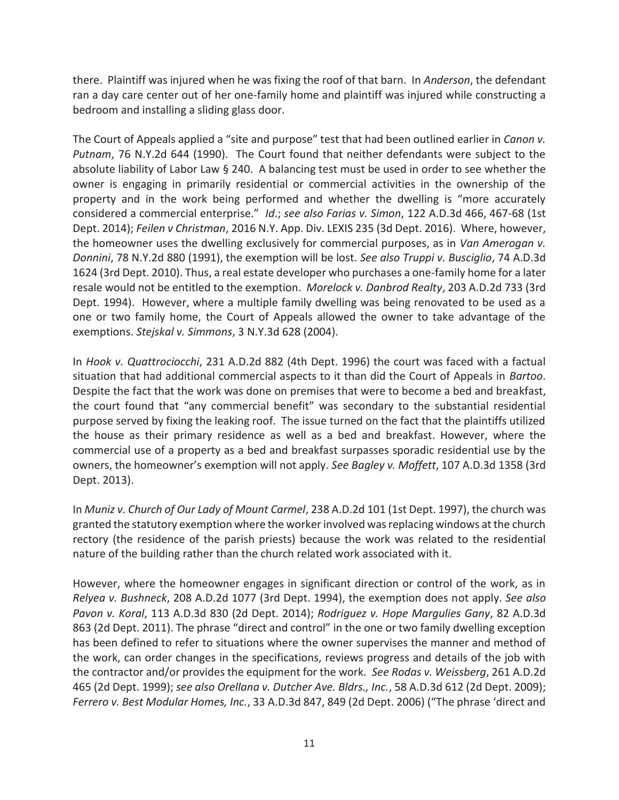there. Plaintiff was injured when he was fixing the roof of that barn. In *Anderson*, the defendant ran a day care center out of her one-family home and plaintiff was injured while constructing a bedroom and installing a sliding glass door.

The Court of Appeals applied a "site and purpose" test that had been outlined earlier in *Canon v. Putnam*, 76 N.Y.2d 644 (1990). The Court found that neither defendants were subject to the absolute liability of Labor Law § 240. A balancing test must be used in order to see whether the owner is engaging in primarily residential or commercial activities in the ownership of the property and in the work being performed and whether the dwelling is "more accurately considered a commercial enterprise." *Id*.; *see also Farias v. Simon*, 122 A.D.3d 466, 467-68 (1st Dept. 2014); *Feilen v Christman*, 2016 N.Y. App. Div. LEXIS 235 (3d Dept. 2016). Where, however, the homeowner uses the dwelling exclusively for commercial purposes, as in *Van Amerogan v. Donnini*, 78 N.Y.2d 880 (1991), the exemption will be lost. *See also Truppi v. Busciglio*, 74 A.D.3d 1624 (3rd Dept. 2010). Thus, a real estate developer who purchases a one-family home for a later resale would not be entitled to the exemption. *Morelock v. Danbrod Realty*, 203 A.D.2d 733 (3rd Dept. 1994). However, where a multiple family dwelling was being renovated to be used as a one or two family home, the Court of Appeals allowed the owner to take advantage of the exemptions. *Stejskal v. Simmons*, 3 N.Y.3d 628 (2004).

In *Hook v. Quattrociocchi*, 231 A.D.2d 882 (4th Dept. 1996) the court was faced with a factual situation that had additional commercial aspects to it than did the Court of Appeals in *Bartoo*. Despite the fact that the work was done on premises that were to become a bed and breakfast, the court found that "any commercial benefit" was secondary to the substantial residential purpose served by fixing the leaking roof. The issue turned on the fact that the plaintiffs utilized the house as their primary residence as well as a bed and breakfast. However, where the commercial use of a property as a bed and breakfast surpasses sporadic residential use by the owners, the homeowner's exemption will not apply. *See Bagley v. Moffett*, 107 A.D.3d 1358 (3rd Dept. 2013).

In *Muniz v. Church of Our Lady of Mount Carmel*, 238 A.D.2d 101 (1st Dept. 1997), the church was granted the statutory exemption where the worker involved was replacing windows at the church rectory (the residence of the parish priests) because the work was related to the residential nature of the building rather than the church related work associated with it.

However, where the homeowner engages in significant direction or control of the work, as in *Relyea v. Bushneck*, 208 A.D.2d 1077 (3rd Dept. 1994), the exemption does not apply. *See also Pavon v. Koral*, 113 A.D.3d 830 (2d Dept. 2014); *Rodriguez v. Hope Margulies Gany*, 82 A.D.3d 863 (2d Dept. 2011). The phrase "direct and control" in the one or two family dwelling exception has been defined to refer to situations where the owner supervises the manner and method of the work, can order changes in the specifications, reviews progress and details of the job with the contractor and/or provides the equipment for the work. *See Rodas v. Weissberg*, 261 A.D.2d 465 (2d Dept. 1999); *see also Orellana v. Dutcher Ave. Bldrs., Inc.*, 58 A.D.3d 612 (2d Dept. 2009); *Ferrero v. Best Modular Homes, Inc.*, 33 A.D.3d 847, 849 (2d Dept. 2006) ("The phrase 'direct and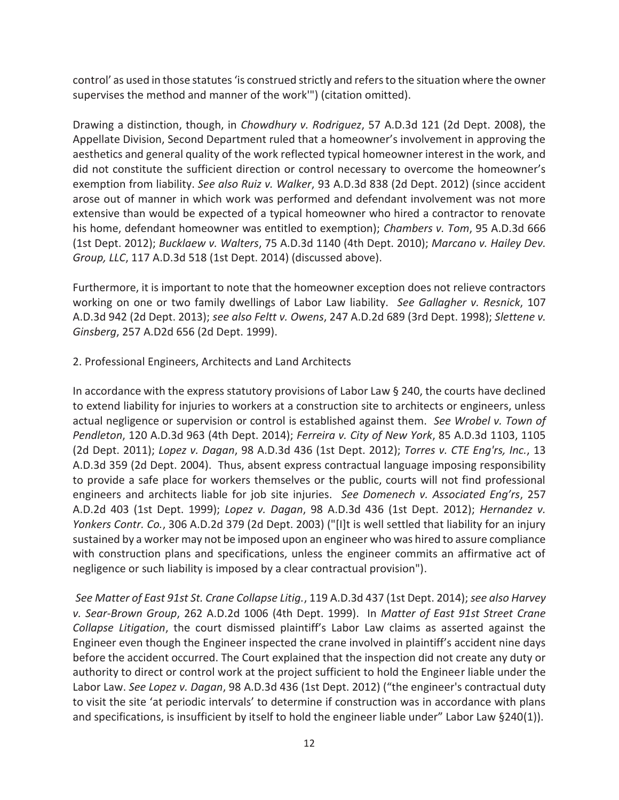control' as used in those statutes 'is construed strictly and refers to the situation where the owner supervises the method and manner of the work'") (citation omitted).

Drawing a distinction, though, in *Chowdhury v. Rodriguez*, 57 A.D.3d 121 (2d Dept. 2008), the Appellate Division, Second Department ruled that a homeowner's involvement in approving the aesthetics and general quality of the work reflected typical homeowner interest in the work, and did not constitute the sufficient direction or control necessary to overcome the homeowner's exemption from liability. *See also Ruiz v. Walker*, 93 A.D.3d 838 (2d Dept. 2012) (since accident arose out of manner in which work was performed and defendant involvement was not more extensive than would be expected of a typical homeowner who hired a contractor to renovate his home, defendant homeowner was entitled to exemption); *Chambers v. Tom*, 95 A.D.3d 666 (1st Dept. 2012); *Bucklaew v. Walters*, 75 A.D.3d 1140 (4th Dept. 2010); *Marcano v. Hailey Dev. Group, LLC*, 117 A.D.3d 518 (1st Dept. 2014) (discussed above).

Furthermore, it is important to note that the homeowner exception does not relieve contractors working on one or two family dwellings of Labor Law liability. *See Gallagher v. Resnick*, 107 A.D.3d 942 (2d Dept. 2013); *see also Feltt v. Owens*, 247 A.D.2d 689 (3rd Dept. 1998); *Slettene v. Ginsberg*, 257 A.D2d 656 (2d Dept. 1999).

## 2. Professional Engineers, Architects and Land Architects

In accordance with the express statutory provisions of Labor Law § 240, the courts have declined to extend liability for injuries to workers at a construction site to architects or engineers, unless actual negligence or supervision or control is established against them. *See Wrobel v. Town of Pendleton*, 120 A.D.3d 963 (4th Dept. 2014); *Ferreira v. City of New York*, 85 A.D.3d 1103, 1105 (2d Dept. 2011); *Lopez v. Dagan*, 98 A.D.3d 436 (1st Dept. 2012); *Torres v. CTE Eng'rs, Inc.*, 13 A.D.3d 359 (2d Dept. 2004). Thus, absent express contractual language imposing responsibility to provide a safe place for workers themselves or the public, courts will not find professional engineers and architects liable for job site injuries. *See Domenech v. Associated Eng'rs*, 257 A.D.2d 403 (1st Dept. 1999); *Lopez v. Dagan*, 98 A.D.3d 436 (1st Dept. 2012); *Hernandez v. Yonkers Contr. Co.*, 306 A.D.2d 379 (2d Dept. 2003) ("[I]t is well settled that liability for an injury sustained by a worker may not be imposed upon an engineer who was hired to assure compliance with construction plans and specifications, unless the engineer commits an affirmative act of negligence or such liability is imposed by a clear contractual provision").

*See Matter of East 91st St. Crane Collapse Litig.*, 119 A.D.3d 437 (1st Dept. 2014); *see also Harvey v. Sear-Brown Group*, 262 A.D.2d 1006 (4th Dept. 1999). In *Matter of East 91st Street Crane Collapse Litigation*, the court dismissed plaintiff's Labor Law claims as asserted against the Engineer even though the Engineer inspected the crane involved in plaintiff's accident nine days before the accident occurred. The Court explained that the inspection did not create any duty or authority to direct or control work at the project sufficient to hold the Engineer liable under the Labor Law. *See Lopez v. Dagan*, 98 A.D.3d 436 (1st Dept. 2012) ("the engineer's contractual duty to visit the site 'at periodic intervals' to determine if construction was in accordance with plans and specifications, is insufficient by itself to hold the engineer liable under" Labor Law §240(1)).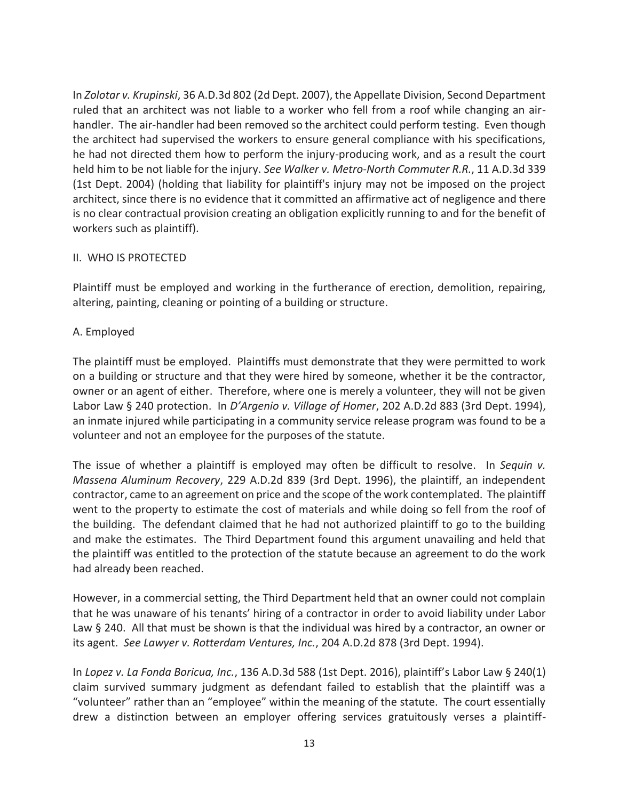In *Zolotar v. Krupinski*, 36 A.D.3d 802 (2d Dept. 2007), the Appellate Division, Second Department ruled that an architect was not liable to a worker who fell from a roof while changing an airhandler. The air-handler had been removed so the architect could perform testing. Even though the architect had supervised the workers to ensure general compliance with his specifications, he had not directed them how to perform the injury-producing work, and as a result the court held him to be not liable for the injury. *See Walker v. Metro-North Commuter R.R.*, 11 A.D.3d 339 (1st Dept. 2004) (holding that liability for plaintiff's injury may not be imposed on the project architect, since there is no evidence that it committed an affirmative act of negligence and there is no clear contractual provision creating an obligation explicitly running to and for the benefit of workers such as plaintiff).

## II. WHO IS PROTECTED

Plaintiff must be employed and working in the furtherance of erection, demolition, repairing, altering, painting, cleaning or pointing of a building or structure.

## A. Employed

The plaintiff must be employed. Plaintiffs must demonstrate that they were permitted to work on a building or structure and that they were hired by someone, whether it be the contractor, owner or an agent of either. Therefore, where one is merely a volunteer, they will not be given Labor Law § 240 protection. In *D'Argenio v. Village of Homer*, 202 A.D.2d 883 (3rd Dept. 1994), an inmate injured while participating in a community service release program was found to be a volunteer and not an employee for the purposes of the statute.

The issue of whether a plaintiff is employed may often be difficult to resolve. In *Sequin v. Massena Aluminum Recovery*, 229 A.D.2d 839 (3rd Dept. 1996), the plaintiff, an independent contractor, came to an agreement on price and the scope of the work contemplated. The plaintiff went to the property to estimate the cost of materials and while doing so fell from the roof of the building. The defendant claimed that he had not authorized plaintiff to go to the building and make the estimates. The Third Department found this argument unavailing and held that the plaintiff was entitled to the protection of the statute because an agreement to do the work had already been reached.

However, in a commercial setting, the Third Department held that an owner could not complain that he was unaware of his tenants' hiring of a contractor in order to avoid liability under Labor Law § 240. All that must be shown is that the individual was hired by a contractor, an owner or its agent. *See Lawyer v. Rotterdam Ventures, Inc.*, 204 A.D.2d 878 (3rd Dept. 1994).

In *Lopez v. La Fonda Boricua, Inc.*, 136 A.D.3d 588 (1st Dept. 2016), plaintiff's Labor Law § 240(1) claim survived summary judgment as defendant failed to establish that the plaintiff was a "volunteer" rather than an "employee" within the meaning of the statute. The court essentially drew a distinction between an employer offering services gratuitously verses a plaintiff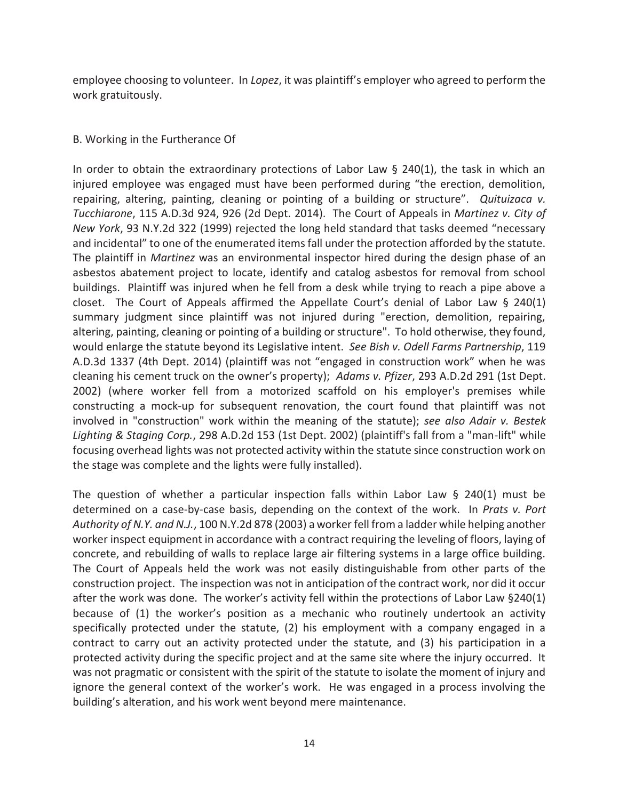employee choosing to volunteer. In *Lopez*, it was plaintiff's employer who agreed to perform the work gratuitously.

## B. Working in the Furtherance Of

In order to obtain the extraordinary protections of Labor Law  $\S$  240(1), the task in which an injured employee was engaged must have been performed during "the erection, demolition, repairing, altering, painting, cleaning or pointing of a building or structure". *Quituizaca v. Tucchiarone*, 115 A.D.3d 924, 926 (2d Dept. 2014). The Court of Appeals in *Martinez v. City of New York*, 93 N.Y.2d 322 (1999) rejected the long held standard that tasks deemed "necessary and incidental" to one of the enumerated items fall under the protection afforded by the statute. The plaintiff in *Martinez* was an environmental inspector hired during the design phase of an asbestos abatement project to locate, identify and catalog asbestos for removal from school buildings. Plaintiff was injured when he fell from a desk while trying to reach a pipe above a closet. The Court of Appeals affirmed the Appellate Court's denial of Labor Law § 240(1) summary judgment since plaintiff was not injured during "erection, demolition, repairing, altering, painting, cleaning or pointing of a building or structure". To hold otherwise, they found, would enlarge the statute beyond its Legislative intent. *See Bish v. Odell Farms Partnership*, 119 A.D.3d 1337 (4th Dept. 2014) (plaintiff was not "engaged in construction work" when he was cleaning his cement truck on the owner's property); *Adams v. Pfizer*, 293 A.D.2d 291 (1st Dept. 2002) (where worker fell from a motorized scaffold on his employer's premises while constructing a mock-up for subsequent renovation, the court found that plaintiff was not involved in "construction" work within the meaning of the statute); *see also Adair v. Bestek Lighting & Staging Corp.*, 298 A.D.2d 153 (1st Dept. 2002) (plaintiff's fall from a "man-lift" while focusing overhead lights was not protected activity within the statute since construction work on the stage was complete and the lights were fully installed).

The question of whether a particular inspection falls within Labor Law  $\S$  240(1) must be determined on a case-by-case basis, depending on the context of the work. In *Prats v. Port Authority of N.Y. and N.J.*, 100 N.Y.2d 878 (2003) a worker fell from a ladder while helping another worker inspect equipment in accordance with a contract requiring the leveling of floors, laying of concrete, and rebuilding of walls to replace large air filtering systems in a large office building. The Court of Appeals held the work was not easily distinguishable from other parts of the construction project. The inspection was not in anticipation of the contract work, nor did it occur after the work was done. The worker's activity fell within the protections of Labor Law §240(1) because of (1) the worker's position as a mechanic who routinely undertook an activity specifically protected under the statute, (2) his employment with a company engaged in a contract to carry out an activity protected under the statute, and (3) his participation in a protected activity during the specific project and at the same site where the injury occurred. It was not pragmatic or consistent with the spirit of the statute to isolate the moment of injury and ignore the general context of the worker's work. He was engaged in a process involving the building's alteration, and his work went beyond mere maintenance.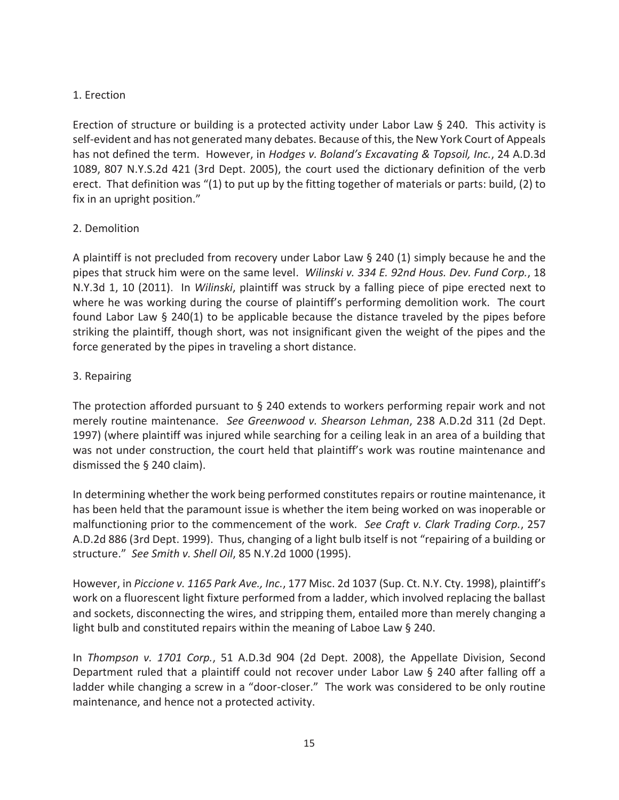## 1. Erection

Erection of structure or building is a protected activity under Labor Law § 240. This activity is self-evident and has not generated many debates. Because of this, the New York Court of Appeals has not defined the term. However, in *Hodges v. Boland's Excavating & Topsoil, Inc.*, 24 A.D.3d 1089, 807 N.Y.S.2d 421 (3rd Dept. 2005), the court used the dictionary definition of the verb erect. That definition was "(1) to put up by the fitting together of materials or parts: build, (2) to fix in an upright position."

## 2. Demolition

A plaintiff is not precluded from recovery under Labor Law § 240 (1) simply because he and the pipes that struck him were on the same level. *Wilinski v. 334 E. 92nd Hous. Dev. Fund Corp.*, 18 N.Y.3d 1, 10 (2011). In *Wilinski*, plaintiff was struck by a falling piece of pipe erected next to where he was working during the course of plaintiff's performing demolition work. The court found Labor Law  $\S$  240(1) to be applicable because the distance traveled by the pipes before striking the plaintiff, though short, was not insignificant given the weight of the pipes and the force generated by the pipes in traveling a short distance.

## 3. Repairing

The protection afforded pursuant to  $\S$  240 extends to workers performing repair work and not merely routine maintenance. *See Greenwood v. Shearson Lehman*, 238 A.D.2d 311 (2d Dept. 1997) (where plaintiff was injured while searching for a ceiling leak in an area of a building that was not under construction, the court held that plaintiff's work was routine maintenance and dismissed the § 240 claim).

In determining whether the work being performed constitutes repairs or routine maintenance, it has been held that the paramount issue is whether the item being worked on was inoperable or malfunctioning prior to the commencement of the work. *See Craft v. Clark Trading Corp.*, 257 A.D.2d 886 (3rd Dept. 1999). Thus, changing of a light bulb itself is not "repairing of a building or structure." *See Smith v. Shell Oil*, 85 N.Y.2d 1000 (1995).

However, in *Piccione v. 1165 Park Ave., Inc.*, 177 Misc. 2d 1037 (Sup. Ct. N.Y. Cty. 1998), plaintiff's work on a fluorescent light fixture performed from a ladder, which involved replacing the ballast and sockets, disconnecting the wires, and stripping them, entailed more than merely changing a light bulb and constituted repairs within the meaning of Laboe Law § 240.

In *Thompson v. 1701 Corp.*, 51 A.D.3d 904 (2d Dept. 2008), the Appellate Division, Second Department ruled that a plaintiff could not recover under Labor Law § 240 after falling off a ladder while changing a screw in a "door-closer." The work was considered to be only routine maintenance, and hence not a protected activity.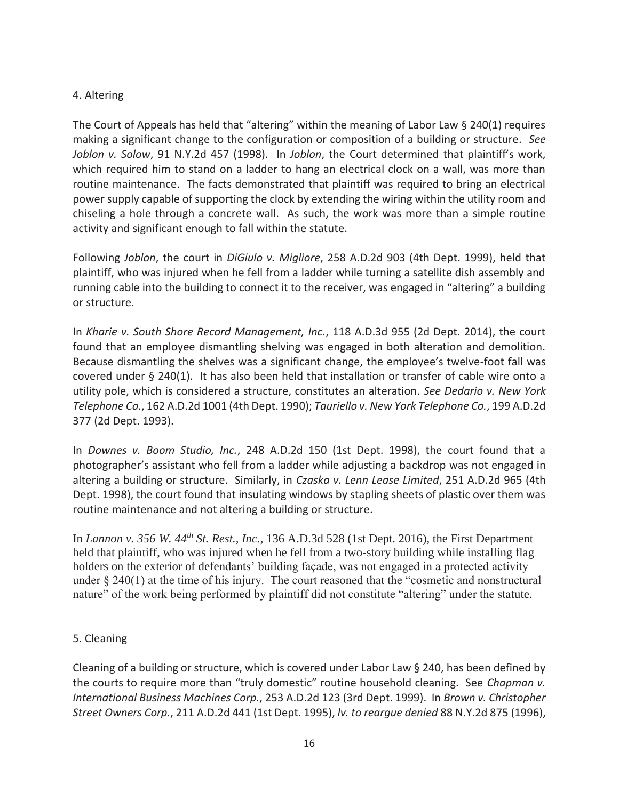## 4. Altering

The Court of Appeals has held that "altering" within the meaning of Labor Law § 240(1) requires making a significant change to the configuration or composition of a building or structure. *See Joblon v. Solow*, 91 N.Y.2d 457 (1998). In *Joblon*, the Court determined that plaintiff's work, which required him to stand on a ladder to hang an electrical clock on a wall, was more than routine maintenance. The facts demonstrated that plaintiff was required to bring an electrical power supply capable of supporting the clock by extending the wiring within the utility room and chiseling a hole through a concrete wall. As such, the work was more than a simple routine activity and significant enough to fall within the statute.

Following *Joblon*, the court in *DiGiulo v. Migliore*, 258 A.D.2d 903 (4th Dept. 1999), held that plaintiff, who was injured when he fell from a ladder while turning a satellite dish assembly and running cable into the building to connect it to the receiver, was engaged in "altering" a building or structure.

In *Kharie v. South Shore Record Management, Inc.*, 118 A.D.3d 955 (2d Dept. 2014), the court found that an employee dismantling shelving was engaged in both alteration and demolition. Because dismantling the shelves was a significant change, the employee's twelve-foot fall was covered under § 240(1). It has also been held that installation or transfer of cable wire onto a utility pole, which is considered a structure, constitutes an alteration. *See Dedario v. New York Telephone Co.*, 162 A.D.2d 1001 (4th Dept. 1990); *Tauriello v. New York Telephone Co.*, 199 A.D.2d 377 (2d Dept. 1993).

In *Downes v. Boom Studio, Inc.*, 248 A.D.2d 150 (1st Dept. 1998), the court found that a photographer's assistant who fell from a ladder while adjusting a backdrop was not engaged in altering a building or structure. Similarly, in *Czaska v. Lenn Lease Limited*, 251 A.D.2d 965 (4th Dept. 1998), the court found that insulating windows by stapling sheets of plastic over them was routine maintenance and not altering a building or structure.

In *Lannon v. 356 W. 44th St. Rest., Inc.*, 136 A.D.3d 528 (1st Dept. 2016), the First Department held that plaintiff, who was injured when he fell from a two-story building while installing flag holders on the exterior of defendants' building façade, was not engaged in a protected activity under § 240(1) at the time of his injury. The court reasoned that the "cosmetic and nonstructural nature" of the work being performed by plaintiff did not constitute "altering" under the statute.

## 5. Cleaning

Cleaning of a building or structure, which is covered under Labor Law § 240, has been defined by the courts to require more than "truly domestic" routine household cleaning. See *Chapman v. International Business Machines Corp.*, 253 A.D.2d 123 (3rd Dept. 1999). In *Brown v. Christopher Street Owners Corp.*, 211 A.D.2d 441 (1st Dept. 1995), *lv. to reargue denied* 88 N.Y.2d 875 (1996),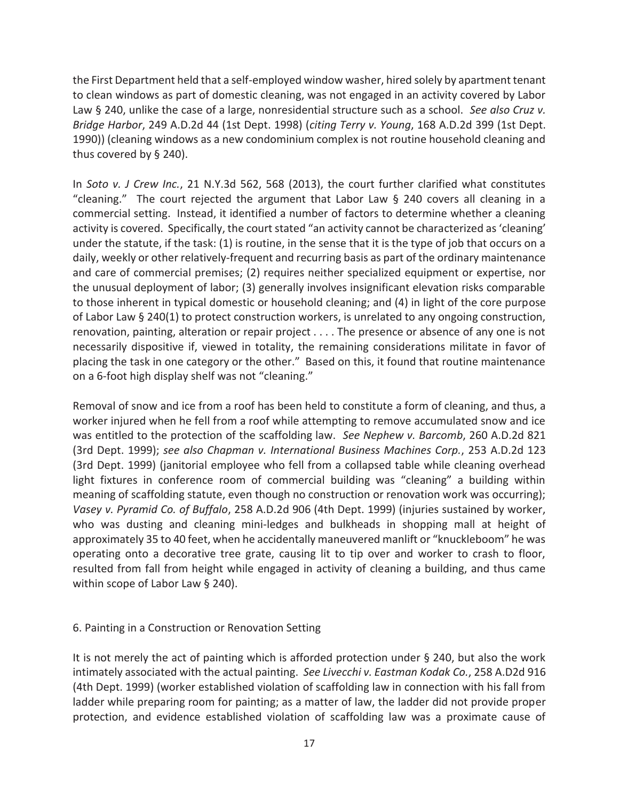the First Department held that a self-employed window washer, hired solely by apartment tenant to clean windows as part of domestic cleaning, was not engaged in an activity covered by Labor Law § 240, unlike the case of a large, nonresidential structure such as a school. *See also Cruz v. Bridge Harbor*, 249 A.D.2d 44 (1st Dept. 1998) (*citing Terry v. Young*, 168 A.D.2d 399 (1st Dept. 1990)) (cleaning windows as a new condominium complex is not routine household cleaning and thus covered by § 240).

In *Soto v. J Crew Inc.*, 21 N.Y.3d 562, 568 (2013), the court further clarified what constitutes "cleaning." The court rejected the argument that Labor Law  $\S$  240 covers all cleaning in a commercial setting. Instead, it identified a number of factors to determine whether a cleaning activity is covered. Specifically, the court stated "an activity cannot be characterized as 'cleaning' under the statute, if the task: (1) is routine, in the sense that it is the type of job that occurs on a daily, weekly or other relatively-frequent and recurring basis as part of the ordinary maintenance and care of commercial premises; (2) requires neither specialized equipment or expertise, nor the unusual deployment of labor; (3) generally involves insignificant elevation risks comparable to those inherent in typical domestic or household cleaning; and (4) in light of the core purpose of Labor Law § 240(1) to protect construction workers, is unrelated to any ongoing construction, renovation, painting, alteration or repair project . . . . The presence or absence of any one is not necessarily dispositive if, viewed in totality, the remaining considerations militate in favor of placing the task in one category or the other." Based on this, it found that routine maintenance on a 6-foot high display shelf was not "cleaning."

Removal of snow and ice from a roof has been held to constitute a form of cleaning, and thus, a worker injured when he fell from a roof while attempting to remove accumulated snow and ice was entitled to the protection of the scaffolding law. *See Nephew v. Barcomb*, 260 A.D.2d 821 (3rd Dept. 1999); *see also Chapman v. International Business Machines Corp.*, 253 A.D.2d 123 (3rd Dept. 1999) (janitorial employee who fell from a collapsed table while cleaning overhead light fixtures in conference room of commercial building was "cleaning" a building within meaning of scaffolding statute, even though no construction or renovation work was occurring); *Vasey v. Pyramid Co. of Buffalo*, 258 A.D.2d 906 (4th Dept. 1999) (injuries sustained by worker, who was dusting and cleaning mini-ledges and bulkheads in shopping mall at height of approximately 35 to 40 feet, when he accidentally maneuvered manlift or "knuckleboom" he was operating onto a decorative tree grate, causing lit to tip over and worker to crash to floor, resulted from fall from height while engaged in activity of cleaning a building, and thus came within scope of Labor Law § 240).

#### 6. Painting in a Construction or Renovation Setting

It is not merely the act of painting which is afforded protection under § 240, but also the work intimately associated with the actual painting. *See Livecchi v. Eastman Kodak Co.*, 258 A.D2d 916 (4th Dept. 1999) (worker established violation of scaffolding law in connection with his fall from ladder while preparing room for painting; as a matter of law, the ladder did not provide proper protection, and evidence established violation of scaffolding law was a proximate cause of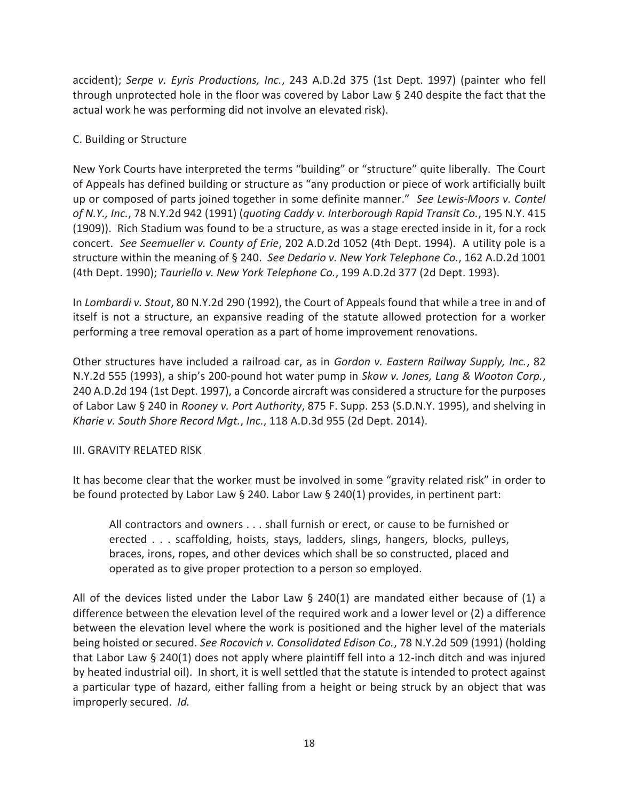accident); *Serpe v. Eyris Productions, Inc.*, 243 A.D.2d 375 (1st Dept. 1997) (painter who fell through unprotected hole in the floor was covered by Labor Law § 240 despite the fact that the actual work he was performing did not involve an elevated risk).

## C. Building or Structure

New York Courts have interpreted the terms "building" or "structure" quite liberally. The Court of Appeals has defined building or structure as "any production or piece of work artificially built up or composed of parts joined together in some definite manner." *See Lewis-Moors v. Contel of N.Y., Inc.*, 78 N.Y.2d 942 (1991) (*quoting Caddy v. Interborough Rapid Transit Co.*, 195 N.Y. 415 (1909)). Rich Stadium was found to be a structure, as was a stage erected inside in it, for a rock concert. *See Seemueller v. County of Erie*, 202 A.D.2d 1052 (4th Dept. 1994). A utility pole is a structure within the meaning of § 240. *See Dedario v. New York Telephone Co.*, 162 A.D.2d 1001 (4th Dept. 1990); *Tauriello v. New York Telephone Co.*, 199 A.D.2d 377 (2d Dept. 1993).

In *Lombardi v. Stout*, 80 N.Y.2d 290 (1992), the Court of Appeals found that while a tree in and of itself is not a structure, an expansive reading of the statute allowed protection for a worker performing a tree removal operation as a part of home improvement renovations.

Other structures have included a railroad car, as in *Gordon v. Eastern Railway Supply, Inc.*, 82 N.Y.2d 555 (1993), a ship's 200-pound hot water pump in *Skow v. Jones, Lang & Wooton Corp.*, 240 A.D.2d 194 (1st Dept. 1997), a Concorde aircraft was considered a structure for the purposes of Labor Law § 240 in *Rooney v. Port Authority*, 875 F. Supp. 253 (S.D.N.Y. 1995), and shelving in *Kharie v. South Shore Record Mgt.*, *Inc.*, 118 A.D.3d 955 (2d Dept. 2014).

## III. GRAVITY RELATED RISK

It has become clear that the worker must be involved in some "gravity related risk" in order to be found protected by Labor Law § 240. Labor Law § 240(1) provides, in pertinent part:

All contractors and owners . . . shall furnish or erect, or cause to be furnished or erected . . . scaffolding, hoists, stays, ladders, slings, hangers, blocks, pulleys, braces, irons, ropes, and other devices which shall be so constructed, placed and operated as to give proper protection to a person so employed.

All of the devices listed under the Labor Law  $\S$  240(1) are mandated either because of (1) a difference between the elevation level of the required work and a lower level or (2) a difference between the elevation level where the work is positioned and the higher level of the materials being hoisted or secured. *See Rocovich v. Consolidated Edison Co.*, 78 N.Y.2d 509 (1991) (holding that Labor Law § 240(1) does not apply where plaintiff fell into a 12-inch ditch and was injured by heated industrial oil). In short, it is well settled that the statute is intended to protect against a particular type of hazard, either falling from a height or being struck by an object that was improperly secured. *Id.*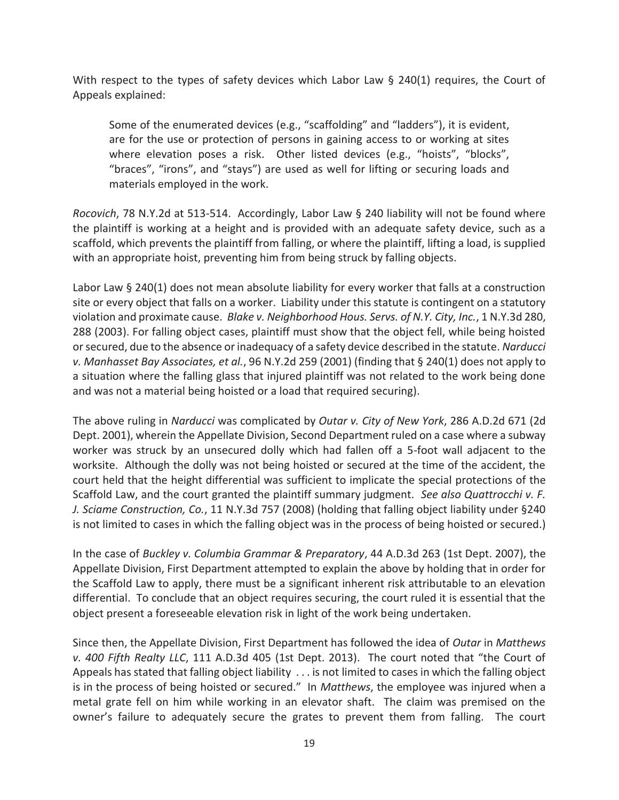With respect to the types of safety devices which Labor Law  $\S$  240(1) requires, the Court of Appeals explained:

Some of the enumerated devices (e.g., "scaffolding" and "ladders"), it is evident, are for the use or protection of persons in gaining access to or working at sites where elevation poses a risk. Other listed devices (e.g., "hoists", "blocks", "braces", "irons", and "stays") are used as well for lifting or securing loads and materials employed in the work.

*Rocovich*, 78 N.Y.2d at 513-514. Accordingly, Labor Law § 240 liability will not be found where the plaintiff is working at a height and is provided with an adequate safety device, such as a scaffold, which prevents the plaintiff from falling, or where the plaintiff, lifting a load, is supplied with an appropriate hoist, preventing him from being struck by falling objects.

Labor Law § 240(1) does not mean absolute liability for every worker that falls at a construction site or every object that falls on a worker. Liability under this statute is contingent on a statutory violation and proximate cause. *Blake v. Neighborhood Hous. Servs. of N.Y. City, Inc.*, 1 N.Y.3d 280, 288 (2003). For falling object cases, plaintiff must show that the object fell, while being hoisted or secured, due to the absence or inadequacy of a safety device described in the statute. *Narducci v. Manhasset Bay Associates, et al.*, 96 N.Y.2d 259 (2001) (finding that § 240(1) does not apply to a situation where the falling glass that injured plaintiff was not related to the work being done and was not a material being hoisted or a load that required securing).

The above ruling in *Narducci* was complicated by *Outar v. City of New York*, 286 A.D.2d 671 (2d Dept. 2001), wherein the Appellate Division, Second Department ruled on a case where a subway worker was struck by an unsecured dolly which had fallen off a 5-foot wall adjacent to the worksite. Although the dolly was not being hoisted or secured at the time of the accident, the court held that the height differential was sufficient to implicate the special protections of the Scaffold Law, and the court granted the plaintiff summary judgment. *See also Quattrocchi v. F. J. Sciame Construction, Co.*, 11 N.Y.3d 757 (2008) (holding that falling object liability under §240 is not limited to cases in which the falling object was in the process of being hoisted or secured.)

In the case of *Buckley v. Columbia Grammar & Preparatory*, 44 A.D.3d 263 (1st Dept. 2007), the Appellate Division, First Department attempted to explain the above by holding that in order for the Scaffold Law to apply, there must be a significant inherent risk attributable to an elevation differential. To conclude that an object requires securing, the court ruled it is essential that the object present a foreseeable elevation risk in light of the work being undertaken.

Since then, the Appellate Division, First Department has followed the idea of *Outar* in *Matthews v. 400 Fifth Realty LLC*, 111 A.D.3d 405 (1st Dept. 2013). The court noted that "the Court of Appeals has stated that falling object liability . . . is not limited to cases in which the falling object is in the process of being hoisted or secured." In *Matthews*, the employee was injured when a metal grate fell on him while working in an elevator shaft. The claim was premised on the owner's failure to adequately secure the grates to prevent them from falling. The court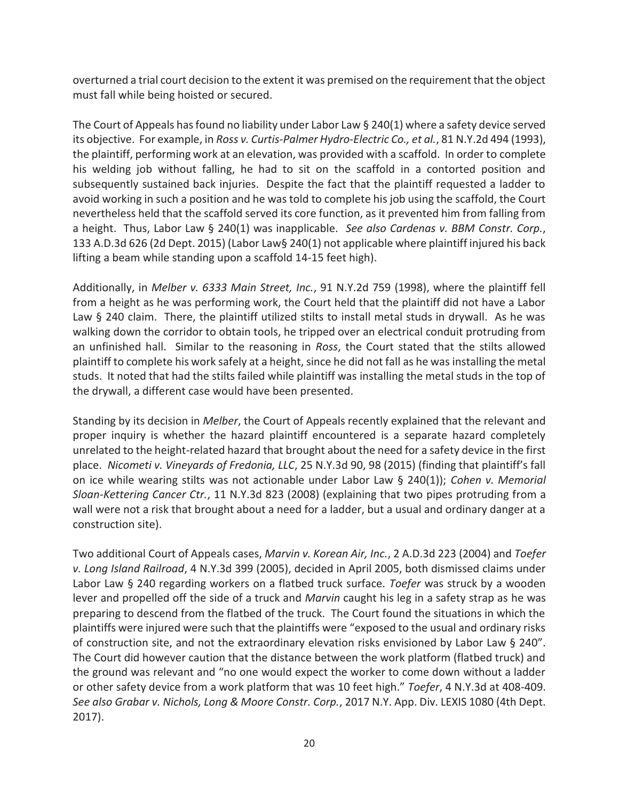overturned a trial court decision to the extent it was premised on the requirement that the object must fall while being hoisted or secured.

The Court of Appeals has found no liability under Labor Law  $\S 240(1)$  where a safety device served its objective. For example, in *Ross v. Curtis-Palmer Hydro-Electric Co., et al.*, 81 N.Y.2d 494 (1993), the plaintiff, performing work at an elevation, was provided with a scaffold. In order to complete his welding job without falling, he had to sit on the scaffold in a contorted position and subsequently sustained back injuries. Despite the fact that the plaintiff requested a ladder to avoid working in such a position and he was told to complete his job using the scaffold, the Court nevertheless held that the scaffold served its core function, as it prevented him from falling from a height. Thus, Labor Law § 240(1) was inapplicable. *See also Cardenas v. BBM Constr. Corp.*, 133 A.D.3d 626 (2d Dept. 2015) (Labor Law§ 240(1) not applicable where plaintiff injured his back lifting a beam while standing upon a scaffold 14-15 feet high).

Additionally, in *Melber v. 6333 Main Street, Inc.*, 91 N.Y.2d 759 (1998), where the plaintiff fell from a height as he was performing work, the Court held that the plaintiff did not have a Labor Law § 240 claim. There, the plaintiff utilized stilts to install metal studs in drywall. As he was walking down the corridor to obtain tools, he tripped over an electrical conduit protruding from an unfinished hall. Similar to the reasoning in *Ross*, the Court stated that the stilts allowed plaintiff to complete his work safely at a height, since he did not fall as he was installing the metal studs. It noted that had the stilts failed while plaintiff was installing the metal studs in the top of the drywall, a different case would have been presented.

Standing by its decision in *Melber*, the Court of Appeals recently explained that the relevant and proper inquiry is whether the hazard plaintiff encountered is a separate hazard completely unrelated to the height-related hazard that brought about the need for a safety device in the first place. *Nicometi v. Vineyards of Fredonia, LLC*, 25 N.Y.3d 90, 98 (2015) (finding that plaintiff's fall on ice while wearing stilts was not actionable under Labor Law § 240(1)); *Cohen v. Memorial Sloan-Kettering Cancer Ctr.*, 11 N.Y.3d 823 (2008) (explaining that two pipes protruding from a wall were not a risk that brought about a need for a ladder, but a usual and ordinary danger at a construction site).

Two additional Court of Appeals cases, *Marvin v. Korean Air, Inc.*, 2 A.D.3d 223 (2004) and *Toefer v. Long Island Railroad*, 4 N.Y.3d 399 (2005), decided in April 2005, both dismissed claims under Labor Law § 240 regarding workers on a flatbed truck surface. *Toefer* was struck by a wooden lever and propelled off the side of a truck and *Marvin* caught his leg in a safety strap as he was preparing to descend from the flatbed of the truck. The Court found the situations in which the plaintiffs were injured were such that the plaintiffs were "exposed to the usual and ordinary risks of construction site, and not the extraordinary elevation risks envisioned by Labor Law § 240". The Court did however caution that the distance between the work platform (flatbed truck) and the ground was relevant and "no one would expect the worker to come down without a ladder or other safety device from a work platform that was 10 feet high." *Toefer*, 4 N.Y.3d at 408-409. *See also Grabar v. Nichols, Long & Moore Constr. Corp.*, 2017 N.Y. App. Div. LEXIS 1080 (4th Dept. 2017).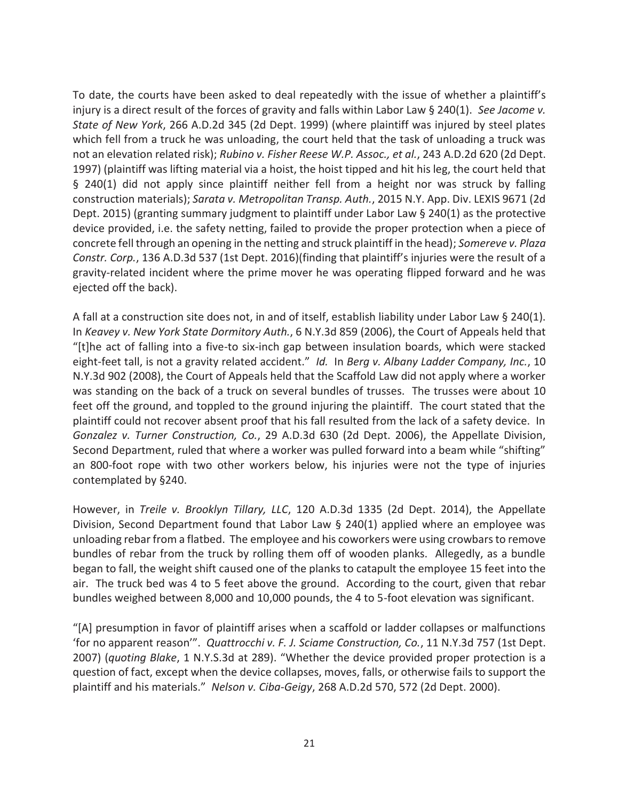To date, the courts have been asked to deal repeatedly with the issue of whether a plaintiff's injury is a direct result of the forces of gravity and falls within Labor Law § 240(1). *See Jacome v. State of New York*, 266 A.D.2d 345 (2d Dept. 1999) (where plaintiff was injured by steel plates which fell from a truck he was unloading, the court held that the task of unloading a truck was not an elevation related risk); *Rubino v. Fisher Reese W.P. Assoc., et al.*, 243 A.D.2d 620 (2d Dept. 1997) (plaintiff was lifting material via a hoist, the hoist tipped and hit his leg, the court held that § 240(1) did not apply since plaintiff neither fell from a height nor was struck by falling construction materials); *Sarata v. Metropolitan Transp. Auth.*, 2015 N.Y. App. Div. LEXIS 9671 (2d Dept. 2015) (granting summary judgment to plaintiff under Labor Law § 240(1) as the protective device provided, i.e. the safety netting, failed to provide the proper protection when a piece of concrete fell through an opening in the netting and struck plaintiff in the head); *Somereve v. Plaza Constr. Corp.*, 136 A.D.3d 537 (1st Dept. 2016)(finding that plaintiff's injuries were the result of a gravity-related incident where the prime mover he was operating flipped forward and he was ejected off the back).

A fall at a construction site does not, in and of itself, establish liability under Labor Law § 240(1). In *Keavey v. New York State Dormitory Auth.*, 6 N.Y.3d 859 (2006), the Court of Appeals held that "[t]he act of falling into a five-to six-inch gap between insulation boards, which were stacked eight-feet tall, is not a gravity related accident." *Id.* In *Berg v. Albany Ladder Company, Inc.*, 10 N.Y.3d 902 (2008), the Court of Appeals held that the Scaffold Law did not apply where a worker was standing on the back of a truck on several bundles of trusses. The trusses were about 10 feet off the ground, and toppled to the ground injuring the plaintiff. The court stated that the plaintiff could not recover absent proof that his fall resulted from the lack of a safety device. In *Gonzalez v. Turner Construction, Co.*, 29 A.D.3d 630 (2d Dept. 2006), the Appellate Division, Second Department, ruled that where a worker was pulled forward into a beam while "shifting" an 800-foot rope with two other workers below, his injuries were not the type of injuries contemplated by §240.

However, in *Treile v. Brooklyn Tillary, LLC*, 120 A.D.3d 1335 (2d Dept. 2014), the Appellate Division, Second Department found that Labor Law § 240(1) applied where an employee was unloading rebar from a flatbed. The employee and his coworkers were using crowbars to remove bundles of rebar from the truck by rolling them off of wooden planks. Allegedly, as a bundle began to fall, the weight shift caused one of the planks to catapult the employee 15 feet into the air. The truck bed was 4 to 5 feet above the ground. According to the court, given that rebar bundles weighed between 8,000 and 10,000 pounds, the 4 to 5-foot elevation was significant.

"[A] presumption in favor of plaintiff arises when a scaffold or ladder collapses or malfunctions 'for no apparent reason'". *Quattrocchi v. F. J. Sciame Construction, Co.*, 11 N.Y.3d 757 (1st Dept. 2007) (*quoting Blake*, 1 N.Y.S.3d at 289). "Whether the device provided proper protection is a question of fact, except when the device collapses, moves, falls, or otherwise fails to support the plaintiff and his materials." *Nelson v. Ciba-Geigy*, 268 A.D.2d 570, 572 (2d Dept. 2000).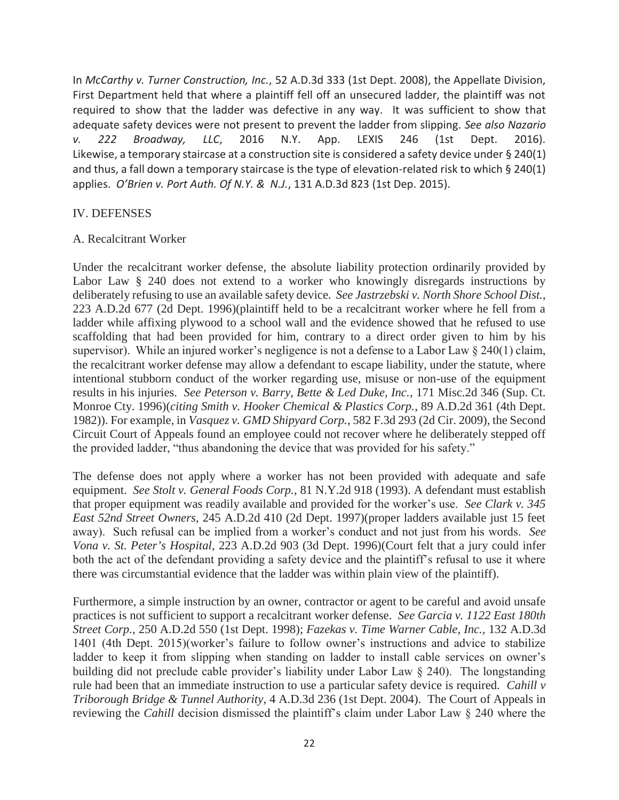In *McCarthy v. Turner Construction, Inc.*, 52 A.D.3d 333 (1st Dept. 2008), the Appellate Division, First Department held that where a plaintiff fell off an unsecured ladder, the plaintiff was not required to show that the ladder was defective in any way. It was sufficient to show that adequate safety devices were not present to prevent the ladder from slipping. *See also Nazario v. 222 Broadway, LLC*, 2016 N.Y. App. LEXIS 246 (1st Dept. 2016). Likewise, a temporary staircase at a construction site is considered a safety device under § 240(1) and thus, a fall down a temporary staircase is the type of elevation-related risk to which § 240(1) applies. *O'Brien v. Port Auth. Of N.Y. & N.J.*, 131 A.D.3d 823 (1st Dep. 2015).

#### IV. DEFENSES

#### A. Recalcitrant Worker

Under the recalcitrant worker defense, the absolute liability protection ordinarily provided by Labor Law § 240 does not extend to a worker who knowingly disregards instructions by deliberately refusing to use an available safety device. *See Jastrzebski v. North Shore School Dist.*, 223 A.D.2d 677 (2d Dept. 1996)(plaintiff held to be a recalcitrant worker where he fell from a ladder while affixing plywood to a school wall and the evidence showed that he refused to use scaffolding that had been provided for him, contrary to a direct order given to him by his supervisor). While an injured worker's negligence is not a defense to a Labor Law § 240(1) claim, the recalcitrant worker defense may allow a defendant to escape liability, under the statute, where intentional stubborn conduct of the worker regarding use, misuse or non-use of the equipment results in his injuries. *See Peterson v. Barry, Bette & Led Duke, Inc.*, 171 Misc.2d 346 (Sup. Ct. Monroe Cty. 1996)(*citing Smith v. Hooker Chemical & Plastics Corp.*, 89 A.D.2d 361 (4th Dept. 1982)). For example, in *Vasquez v. GMD Shipyard Corp.*, 582 F.3d 293 (2d Cir. 2009), the Second Circuit Court of Appeals found an employee could not recover where he deliberately stepped off the provided ladder, "thus abandoning the device that was provided for his safety."

The defense does not apply where a worker has not been provided with adequate and safe equipment. *See Stolt v. General Foods Corp.*, 81 N.Y.2d 918 (1993). A defendant must establish that proper equipment was readily available and provided for the worker's use. *See Clark v. 345 East 52nd Street Owners*, 245 A.D.2d 410 (2d Dept. 1997)(proper ladders available just 15 feet away). Such refusal can be implied from a worker's conduct and not just from his words. *See Vona v. St. Peter's Hospital*, 223 A.D.2d 903 (3d Dept. 1996)(Court felt that a jury could infer both the act of the defendant providing a safety device and the plaintiff's refusal to use it where there was circumstantial evidence that the ladder was within plain view of the plaintiff).

Furthermore, a simple instruction by an owner, contractor or agent to be careful and avoid unsafe practices is not sufficient to support a recalcitrant worker defense. *See Garcia v. 1122 East 180th Street Corp.*, 250 A.D.2d 550 (1st Dept. 1998); *Fazekas v. Time Warner Cable, Inc.,* 132 A.D.3d 1401 (4th Dept. 2015)(worker's failure to follow owner's instructions and advice to stabilize ladder to keep it from slipping when standing on ladder to install cable services on owner's building did not preclude cable provider's liability under Labor Law § 240). The longstanding rule had been that an immediate instruction to use a particular safety device is required. *Cahill v Triborough Bridge & Tunnel Authority*, 4 A.D.3d 236 (1st Dept. 2004). The Court of Appeals in reviewing the *Cahill* decision dismissed the plaintiff's claim under Labor Law § 240 where the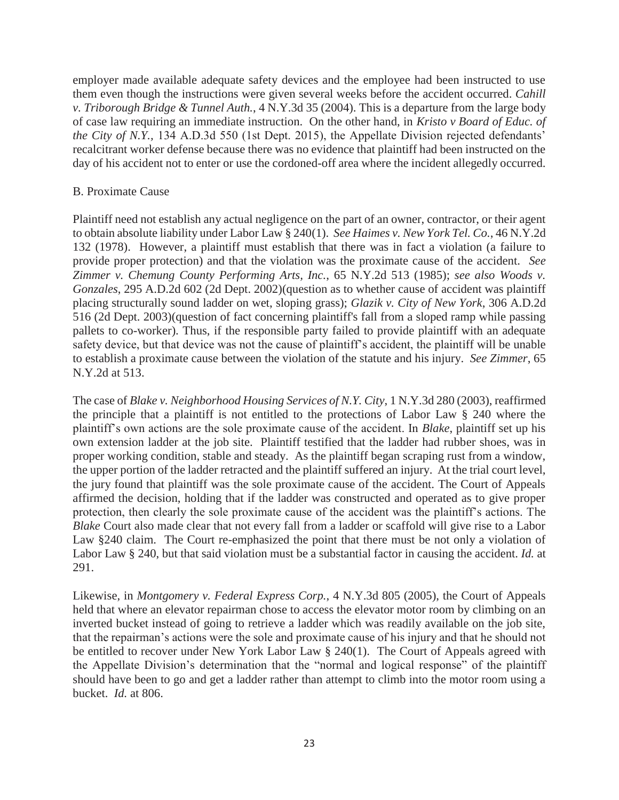employer made available adequate safety devices and the employee had been instructed to use them even though the instructions were given several weeks before the accident occurred. *Cahill v. Triborough Bridge & Tunnel Auth.*, 4 N.Y.3d 35 (2004). This is a departure from the large body of case law requiring an immediate instruction. On the other hand, in *Kristo v Board of Educ. of the City of N.Y.,* 134 A.D.3d 550 (1st Dept. 2015), the Appellate Division rejected defendants' recalcitrant worker defense because there was no evidence that plaintiff had been instructed on the day of his accident not to enter or use the cordoned-off area where the incident allegedly occurred.

#### B. Proximate Cause

Plaintiff need not establish any actual negligence on the part of an owner, contractor, or their agent to obtain absolute liability under Labor Law § 240(1). *See Haimes v. New York Tel. Co.*, 46 N.Y.2d 132 (1978). However, a plaintiff must establish that there was in fact a violation (a failure to provide proper protection) and that the violation was the proximate cause of the accident. *See Zimmer v. Chemung County Performing Arts, Inc.*, 65 N.Y.2d 513 (1985); *see also Woods v. Gonzales*, 295 A.D.2d 602 (2d Dept. 2002)(question as to whether cause of accident was plaintiff placing structurally sound ladder on wet, sloping grass); *Glazik v. City of New York*, 306 A.D.2d 516 (2d Dept. 2003)(question of fact concerning plaintiff's fall from a sloped ramp while passing pallets to co-worker). Thus, if the responsible party failed to provide plaintiff with an adequate safety device, but that device was not the cause of plaintiff's accident, the plaintiff will be unable to establish a proximate cause between the violation of the statute and his injury. *See Zimmer*, 65 N.Y.2d at 513.

The case of *Blake v. Neighborhood Housing Services of N.Y. City*, 1 N.Y.3d 280 (2003), reaffirmed the principle that a plaintiff is not entitled to the protections of Labor Law § 240 where the plaintiff's own actions are the sole proximate cause of the accident. In *Blake*, plaintiff set up his own extension ladder at the job site. Plaintiff testified that the ladder had rubber shoes, was in proper working condition, stable and steady. As the plaintiff began scraping rust from a window, the upper portion of the ladder retracted and the plaintiff suffered an injury. At the trial court level, the jury found that plaintiff was the sole proximate cause of the accident. The Court of Appeals affirmed the decision, holding that if the ladder was constructed and operated as to give proper protection, then clearly the sole proximate cause of the accident was the plaintiff's actions. The *Blake* Court also made clear that not every fall from a ladder or scaffold will give rise to a Labor Law §240 claim. The Court re-emphasized the point that there must be not only a violation of Labor Law § 240, but that said violation must be a substantial factor in causing the accident. *Id.* at 291.

Likewise, in *Montgomery v. Federal Express Corp.*, 4 N.Y.3d 805 (2005), the Court of Appeals held that where an elevator repairman chose to access the elevator motor room by climbing on an inverted bucket instead of going to retrieve a ladder which was readily available on the job site, that the repairman's actions were the sole and proximate cause of his injury and that he should not be entitled to recover under New York Labor Law § 240(1). The Court of Appeals agreed with the Appellate Division's determination that the "normal and logical response" of the plaintiff should have been to go and get a ladder rather than attempt to climb into the motor room using a bucket. *Id.* at 806.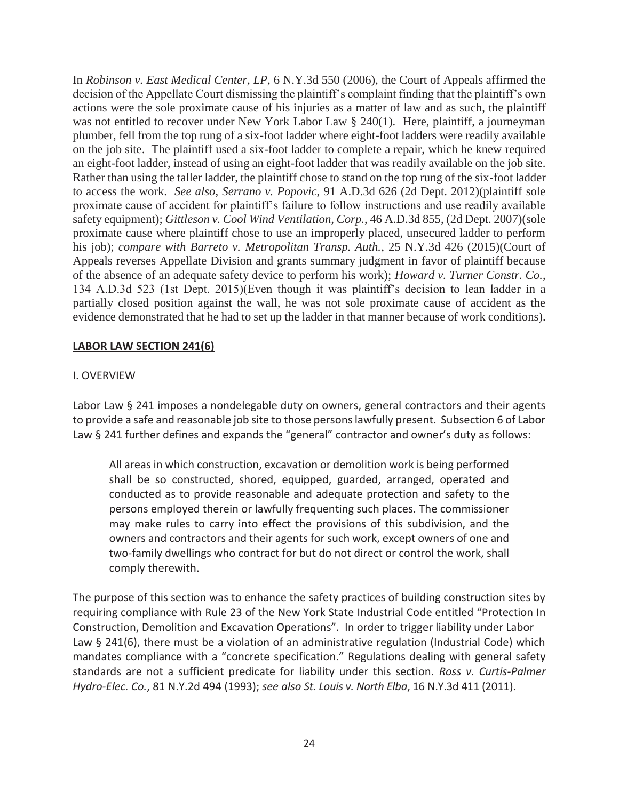In *Robinson v. East Medical Center, LP*, 6 N.Y.3d 550 (2006), the Court of Appeals affirmed the decision of the Appellate Court dismissing the plaintiff's complaint finding that the plaintiff's own actions were the sole proximate cause of his injuries as a matter of law and as such, the plaintiff was not entitled to recover under New York Labor Law § 240(1). Here, plaintiff, a journeyman plumber, fell from the top rung of a six-foot ladder where eight-foot ladders were readily available on the job site. The plaintiff used a six-foot ladder to complete a repair, which he knew required an eight-foot ladder, instead of using an eight-foot ladder that was readily available on the job site. Rather than using the taller ladder, the plaintiff chose to stand on the top rung of the six-foot ladder to access the work. *See also*, *Serrano v. Popovic*, 91 A.D.3d 626 (2d Dept. 2012)(plaintiff sole proximate cause of accident for plaintiff's failure to follow instructions and use readily available safety equipment); *Gittleson v. Cool Wind Ventilation, Corp.*, 46 A.D.3d 855, (2d Dept. 2007)(sole proximate cause where plaintiff chose to use an improperly placed, unsecured ladder to perform his job); *compare with Barreto v. Metropolitan Transp. Auth.*, 25 N.Y.3d 426 (2015)(Court of Appeals reverses Appellate Division and grants summary judgment in favor of plaintiff because of the absence of an adequate safety device to perform his work); *Howard v. Turner Constr. Co.*, 134 A.D.3d 523 (1st Dept. 2015)(Even though it was plaintiff's decision to lean ladder in a partially closed position against the wall, he was not sole proximate cause of accident as the evidence demonstrated that he had to set up the ladder in that manner because of work conditions).

#### **LABOR LAW SECTION 241(6)**

#### I. OVERVIEW

Labor Law § 241 imposes a nondelegable duty on owners, general contractors and their agents to provide a safe and reasonable job site to those persons lawfully present. Subsection 6 of Labor Law § 241 further defines and expands the "general" contractor and owner's duty as follows:

All areas in which construction, excavation or demolition work is being performed shall be so constructed, shored, equipped, guarded, arranged, operated and conducted as to provide reasonable and adequate protection and safety to the persons employed therein or lawfully frequenting such places. The commissioner may make rules to carry into effect the provisions of this subdivision, and the owners and contractors and their agents for such work, except owners of one and two-family dwellings who contract for but do not direct or control the work, shall comply therewith.

The purpose of this section was to enhance the safety practices of building construction sites by requiring compliance with Rule 23 of the New York State Industrial Code entitled "Protection In Construction, Demolition and Excavation Operations". In order to trigger liability under Labor Law § 241(6), there must be a violation of an administrative regulation (Industrial Code) which mandates compliance with a "concrete specification." Regulations dealing with general safety standards are not a sufficient predicate for liability under this section. *Ross v. Curtis-Palmer Hydro-Elec. Co.*, 81 N.Y.2d 494 (1993); *see also St. Louis v. North Elba*, 16 N.Y.3d 411 (2011).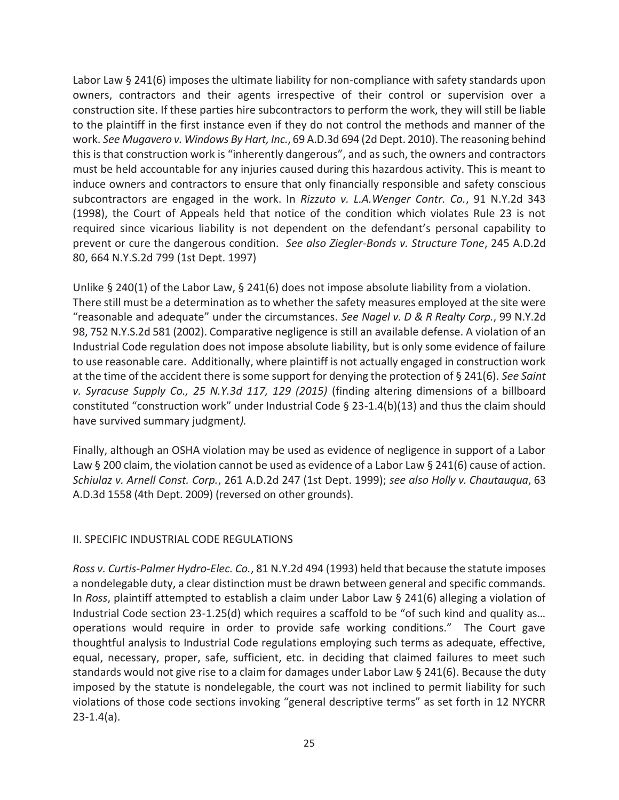Labor Law § 241(6) imposes the ultimate liability for non-compliance with safety standards upon owners, contractors and their agents irrespective of their control or supervision over a construction site. If these parties hire subcontractors to perform the work, they will still be liable to the plaintiff in the first instance even if they do not control the methods and manner of the work. *See Mugavero v. Windows By Hart, Inc.*, 69 A.D.3d 694 (2d Dept. 2010). The reasoning behind this is that construction work is "inherently dangerous", and as such, the owners and contractors must be held accountable for any injuries caused during this hazardous activity. This is meant to induce owners and contractors to ensure that only financially responsible and safety conscious subcontractors are engaged in the work. In *Rizzuto v. L.A.Wenger Contr. Co.*, 91 N.Y.2d 343 (1998), the Court of Appeals held that notice of the condition which violates Rule 23 is not required since vicarious liability is not dependent on the defendant's personal capability to prevent or cure the dangerous condition. *See also Ziegler-Bonds v. Structure Tone*, 245 A.D.2d 80, 664 N.Y.S.2d 799 (1st Dept. 1997)

Unlike § 240(1) of the Labor Law, § 241(6) does not impose absolute liability from a violation. There still must be a determination as to whether the safety measures employed at the site were "reasonable and adequate" under the circumstances. *See Nagel v. D & R Realty Corp.*, 99 N.Y.2d 98, 752 N.Y.S.2d 581 (2002). Comparative negligence is still an available defense. A violation of an Industrial Code regulation does not impose absolute liability, but is only some evidence of failure to use reasonable care. Additionally, where plaintiff is not actually engaged in construction work at the time of the accident there is some support for denying the protection of § 241(6). *See Saint v. Syracuse Supply Co., 25 N.Y.3d 117, 129 (2015)* (finding altering dimensions of a billboard constituted "construction work" under Industrial Code § 23-1.4(b)(13) and thus the claim should have survived summary judgment*).*

Finally, although an OSHA violation may be used as evidence of negligence in support of a Labor Law § 200 claim, the violation cannot be used as evidence of a Labor Law § 241(6) cause of action. *Schiulaz v. Arnell Const. Corp.*, 261 A.D.2d 247 (1st Dept. 1999); *see also Holly v. Chautauqua*, 63 A.D.3d 1558 (4th Dept. 2009) (reversed on other grounds).

## II. SPECIFIC INDUSTRIAL CODE REGULATIONS

*Ross v. Curtis-Palmer Hydro-Elec. Co.*, 81 N.Y.2d 494 (1993) held that because the statute imposes a nondelegable duty, a clear distinction must be drawn between general and specific commands. In *Ross*, plaintiff attempted to establish a claim under Labor Law § 241(6) alleging a violation of Industrial Code section 23-1.25(d) which requires a scaffold to be "of such kind and quality as… operations would require in order to provide safe working conditions." The Court gave thoughtful analysis to Industrial Code regulations employing such terms as adequate, effective, equal, necessary, proper, safe, sufficient, etc. in deciding that claimed failures to meet such standards would not give rise to a claim for damages under Labor Law  $\S 241(6)$ . Because the duty imposed by the statute is nondelegable, the court was not inclined to permit liability for such violations of those code sections invoking "general descriptive terms" as set forth in 12 NYCRR 23-1.4(a).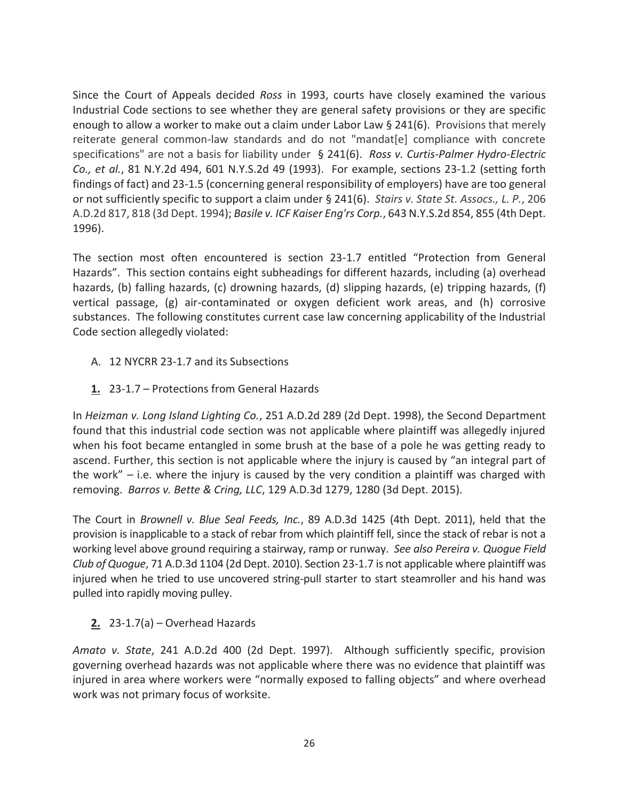Since the Court of Appeals decided *Ross* in 1993, courts have closely examined the various Industrial Code sections to see whether they are general safety provisions or they are specific enough to allow a worker to make out a claim under Labor Law § 241(6). Provisions that merely reiterate general common-law standards and do not "mandat[e] compliance with concrete specifications" are not a basis for liability under § 241(6). *Ross v. Curtis-Palmer Hydro-Electric Co., et al.*, 81 N.Y.2d 494, 601 N.Y.S.2d 49 (1993). For example, sections 23-1.2 (setting forth findings of fact) and 23-1.5 (concerning general responsibility of employers) have are too general or not sufficiently specific to support a claim under § 241(6). *Stairs v. State St. Assocs., L. P.*, 206 A.D.2d 817, 818 (3d Dept. 1994); *Basile v. ICF Kaiser Eng'rs Corp.*, 643 N.Y.S.2d 854, 855 (4th Dept. 1996).

The section most often encountered is section 23-1.7 entitled "Protection from General Hazards". This section contains eight subheadings for different hazards, including (a) overhead hazards, (b) falling hazards, (c) drowning hazards, (d) slipping hazards, (e) tripping hazards, (f) vertical passage, (g) air-contaminated or oxygen deficient work areas, and (h) corrosive substances. The following constitutes current case law concerning applicability of the Industrial Code section allegedly violated:

- A. 12 NYCRR 23-1.7 and its Subsections
- **1.** 23-1.7 Protections from General Hazards

In *Heizman v. Long Island Lighting Co.*, 251 A.D.2d 289 (2d Dept. 1998), the Second Department found that this industrial code section was not applicable where plaintiff was allegedly injured when his foot became entangled in some brush at the base of a pole he was getting ready to ascend. Further, this section is not applicable where the injury is caused by "an integral part of the work"  $-$  i.e. where the injury is caused by the very condition a plaintiff was charged with removing. *Barros v. Bette & Cring, LLC*, 129 A.D.3d 1279, 1280 (3d Dept. 2015).

The Court in *Brownell v. Blue Seal Feeds, Inc.*, 89 A.D.3d 1425 (4th Dept. 2011), held that the provision is inapplicable to a stack of rebar from which plaintiff fell, since the stack of rebar is not a working level above ground requiring a stairway, ramp or runway. *See also Pereira v. Quogue Field Club of Quogue*, 71 A.D.3d 1104 (2d Dept. 2010). Section 23-1.7 is not applicable where plaintiff was injured when he tried to use uncovered string-pull starter to start steamroller and his hand was pulled into rapidly moving pulley.

# **2.** 23-1.7(a) – Overhead Hazards

*Amato v. State*, 241 A.D.2d 400 (2d Dept. 1997). Although sufficiently specific, provision governing overhead hazards was not applicable where there was no evidence that plaintiff was injured in area where workers were "normally exposed to falling objects" and where overhead work was not primary focus of worksite.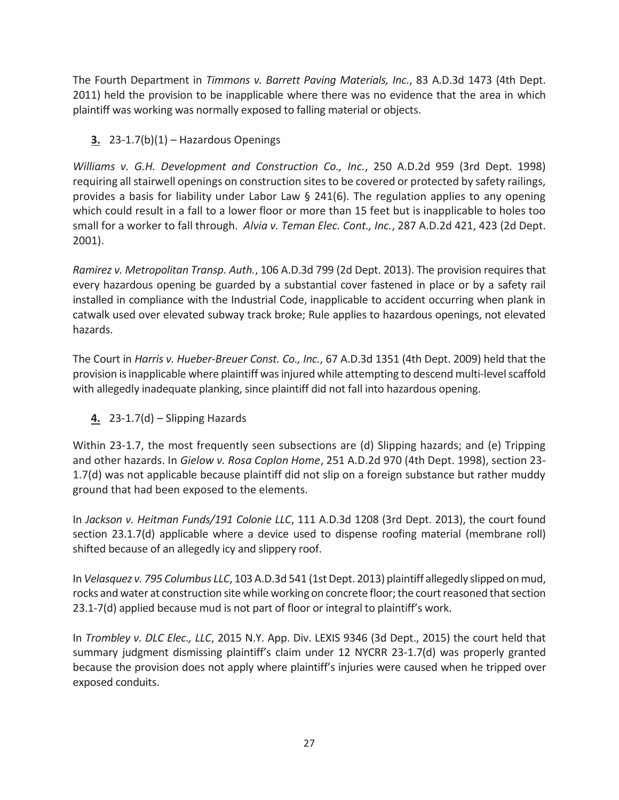The Fourth Department in *Timmons v. Barrett Paving Materials, Inc.*, 83 A.D.3d 1473 (4th Dept. 2011) held the provision to be inapplicable where there was no evidence that the area in which plaintiff was working was normally exposed to falling material or objects.

**3.** 23-1.7(b)(1) – Hazardous Openings

*Williams v. G.H. Development and Construction Co., Inc.*, 250 A.D.2d 959 (3rd Dept. 1998) requiring all stairwell openings on construction sites to be covered or protected by safety railings, provides a basis for liability under Labor Law § 241(6). The regulation applies to any opening which could result in a fall to a lower floor or more than 15 feet but is inapplicable to holes too small for a worker to fall through. *Alvia v. Teman Elec. Cont., Inc.*, 287 A.D.2d 421, 423 (2d Dept. 2001).

*Ramirez v. Metropolitan Transp. Auth.*, 106 A.D.3d 799 (2d Dept. 2013). The provision requires that every hazardous opening be guarded by a substantial cover fastened in place or by a safety rail installed in compliance with the Industrial Code, inapplicable to accident occurring when plank in catwalk used over elevated subway track broke; Rule applies to hazardous openings, not elevated hazards.

The Court in *Harris v. Hueber-Breuer Const. Co., Inc.*, 67 A.D.3d 1351 (4th Dept. 2009) held that the provision is inapplicable where plaintiff was injured while attempting to descend multi-level scaffold with allegedly inadequate planking, since plaintiff did not fall into hazardous opening.

**4.** 23-1.7(d) – Slipping Hazards

Within 23-1.7, the most frequently seen subsections are (d) Slipping hazards; and (e) Tripping and other hazards. In *Gielow v. Rosa Coplon Home*, 251 A.D.2d 970 (4th Dept. 1998), section 23- 1.7(d) was not applicable because plaintiff did not slip on a foreign substance but rather muddy ground that had been exposed to the elements.

In *Jackson v. Heitman Funds/191 Colonie LLC*, 111 A.D.3d 1208 (3rd Dept. 2013), the court found section 23.1.7(d) applicable where a device used to dispense roofing material (membrane roll) shifted because of an allegedly icy and slippery roof.

In *Velasquez v. 795 Columbus LLC*, 103 A.D.3d 541 (1st Dept. 2013) plaintiff allegedly slipped on mud, rocks and water at construction site while working on concrete floor; the court reasoned that section 23.1-7(d) applied because mud is not part of floor or integral to plaintiff's work.

In *Trombley v. DLC Elec., LLC*, 2015 N.Y. App. Div. LEXIS 9346 (3d Dept., 2015) the court held that summary judgment dismissing plaintiff's claim under 12 NYCRR 23-1.7(d) was properly granted because the provision does not apply where plaintiff's injuries were caused when he tripped over exposed conduits.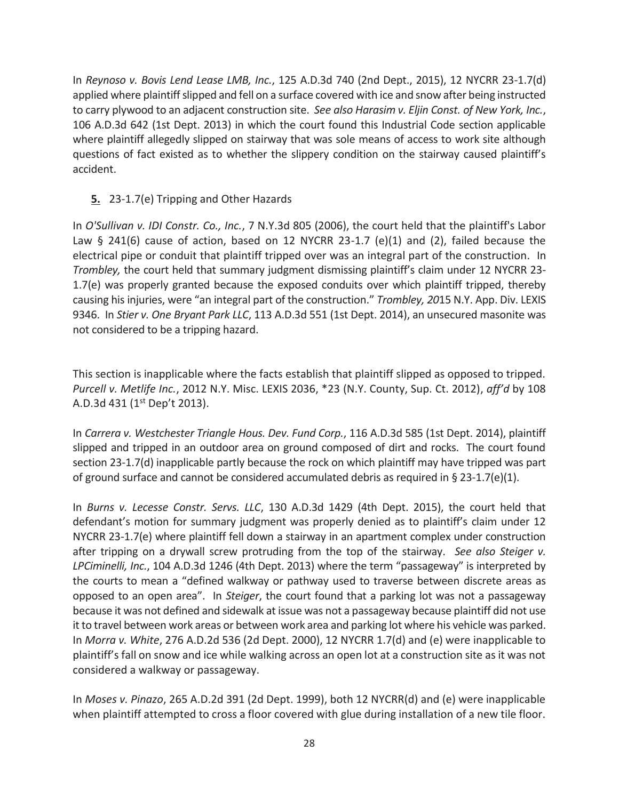In *Reynoso v. Bovis Lend Lease LMB, Inc.*, 125 A.D.3d 740 (2nd Dept., 2015), 12 NYCRR 23-1.7(d) applied where plaintiff slipped and fell on a surface covered with ice and snow after being instructed to carry plywood to an adjacent construction site. *See also Harasim v. Eljin Const. of New York, Inc.*, 106 A.D.3d 642 (1st Dept. 2013) in which the court found this Industrial Code section applicable where plaintiff allegedly slipped on stairway that was sole means of access to work site although questions of fact existed as to whether the slippery condition on the stairway caused plaintiff's accident.

## **5.** 23-1.7(e) Tripping and Other Hazards

In *O'Sullivan v. IDI Constr. Co., Inc.*, 7 N.Y.3d 805 (2006), the court held that the plaintiff's Labor Law § 241(6) cause of action, based on 12 NYCRR 23-1.7 (e)(1) and (2), failed because the electrical pipe or conduit that plaintiff tripped over was an integral part of the construction. In *Trombley,* the court held that summary judgment dismissing plaintiff's claim under 12 NYCRR 23- 1.7(e) was properly granted because the exposed conduits over which plaintiff tripped, thereby causing his injuries, were "an integral part of the construction." *Trombley, 20*15 N.Y. App. Div. LEXIS 9346. In *Stier v. One Bryant Park LLC*, 113 A.D.3d 551 (1st Dept. 2014), an unsecured masonite was not considered to be a tripping hazard.

This section is inapplicable where the facts establish that plaintiff slipped as opposed to tripped. *Purcell v. Metlife Inc.*, 2012 N.Y. Misc. LEXIS 2036, \*23 (N.Y. County, Sup. Ct. 2012), *aff'd* by 108 A.D.3d 431 (1<sup>st</sup> Dep't 2013).

In *Carrera v. Westchester Triangle Hous. Dev. Fund Corp.*, 116 A.D.3d 585 (1st Dept. 2014), plaintiff slipped and tripped in an outdoor area on ground composed of dirt and rocks. The court found section 23-1.7(d) inapplicable partly because the rock on which plaintiff may have tripped was part of ground surface and cannot be considered accumulated debris as required in § 23-1.7(e)(1).

In *Burns v. Lecesse Constr. Servs. LLC*, 130 A.D.3d 1429 (4th Dept. 2015), the court held that defendant's motion for summary judgment was properly denied as to plaintiff's claim under 12 NYCRR 23-1.7(e) where plaintiff fell down a stairway in an apartment complex under construction after tripping on a drywall screw protruding from the top of the stairway. *See also Steiger v. LPCiminelli, Inc.*, 104 A.D.3d 1246 (4th Dept. 2013) where the term "passageway" is interpreted by the courts to mean a "defined walkway or pathway used to traverse between discrete areas as opposed to an open area". In *Steiger*, the court found that a parking lot was not a passageway because it was not defined and sidewalk at issue was not a passageway because plaintiff did not use it to travel between work areas or between work area and parking lot where his vehicle was parked. In *Morra v. White*, 276 A.D.2d 536 (2d Dept. 2000), 12 NYCRR 1.7(d) and (e) were inapplicable to plaintiff's fall on snow and ice while walking across an open lot at a construction site as it was not considered a walkway or passageway.

In *Moses v. Pinazo*, 265 A.D.2d 391 (2d Dept. 1999), both 12 NYCRR(d) and (e) were inapplicable when plaintiff attempted to cross a floor covered with glue during installation of a new tile floor.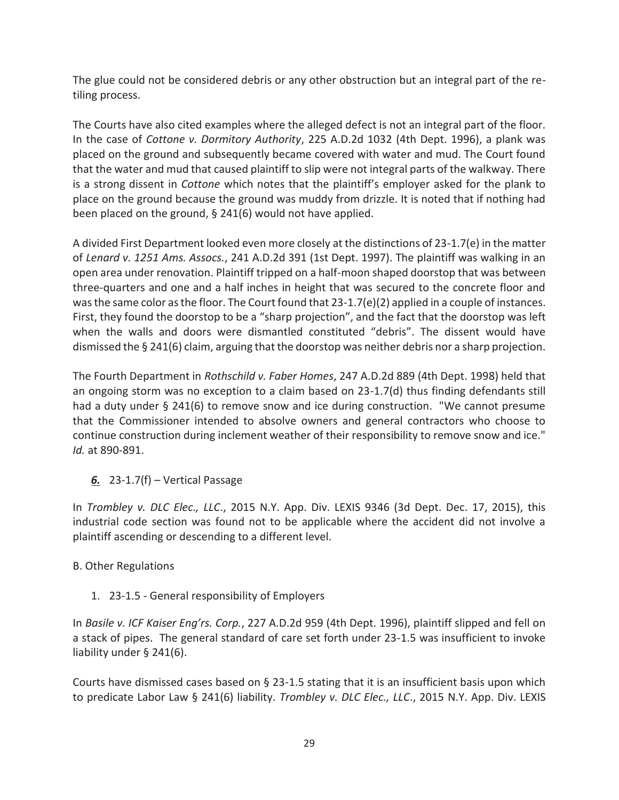The glue could not be considered debris or any other obstruction but an integral part of the retiling process.

The Courts have also cited examples where the alleged defect is not an integral part of the floor. In the case of *Cottone v. Dormitory Authority*, 225 A.D.2d 1032 (4th Dept. 1996), a plank was placed on the ground and subsequently became covered with water and mud. The Court found that the water and mud that caused plaintiff to slip were not integral parts of the walkway. There is a strong dissent in *Cottone* which notes that the plaintiff's employer asked for the plank to place on the ground because the ground was muddy from drizzle. It is noted that if nothing had been placed on the ground, § 241(6) would not have applied.

A divided First Department looked even more closely at the distinctions of 23-1.7(e) in the matter of *Lenard v. 1251 Ams. Assocs.*, 241 A.D.2d 391 (1st Dept. 1997). The plaintiff was walking in an open area under renovation. Plaintiff tripped on a half-moon shaped doorstop that was between three-quarters and one and a half inches in height that was secured to the concrete floor and was the same color as the floor. The Court found that 23-1.7(e)(2) applied in a couple of instances. First, they found the doorstop to be a "sharp projection", and the fact that the doorstop was left when the walls and doors were dismantled constituted "debris". The dissent would have dismissed the § 241(6) claim, arguing that the doorstop was neither debris nor a sharp projection.

The Fourth Department in *Rothschild v. Faber Homes*, 247 A.D.2d 889 (4th Dept. 1998) held that an ongoing storm was no exception to a claim based on 23-1.7(d) thus finding defendants still had a duty under § 241(6) to remove snow and ice during construction. "We cannot presume that the Commissioner intended to absolve owners and general contractors who choose to continue construction during inclement weather of their responsibility to remove snow and ice." *Id.* at 890-891.

# *6.* 23-1.7(f) – Vertical Passage

In *Trombley v. DLC Elec., LLC*., 2015 N.Y. App. Div. LEXIS 9346 (3d Dept. Dec. 17, 2015), this industrial code section was found not to be applicable where the accident did not involve a plaintiff ascending or descending to a different level.

# B. Other Regulations

# 1. 23-1.5 - General responsibility of Employers

In *Basile v. ICF Kaiser Eng'rs. Corp.*, 227 A.D.2d 959 (4th Dept. 1996), plaintiff slipped and fell on a stack of pipes. The general standard of care set forth under 23-1.5 was insufficient to invoke liability under § 241(6).

Courts have dismissed cases based on § 23-1.5 stating that it is an insufficient basis upon which to predicate Labor Law § 241(6) liability. *Trombley v. DLC Elec., LLC*., 2015 N.Y. App. Div. LEXIS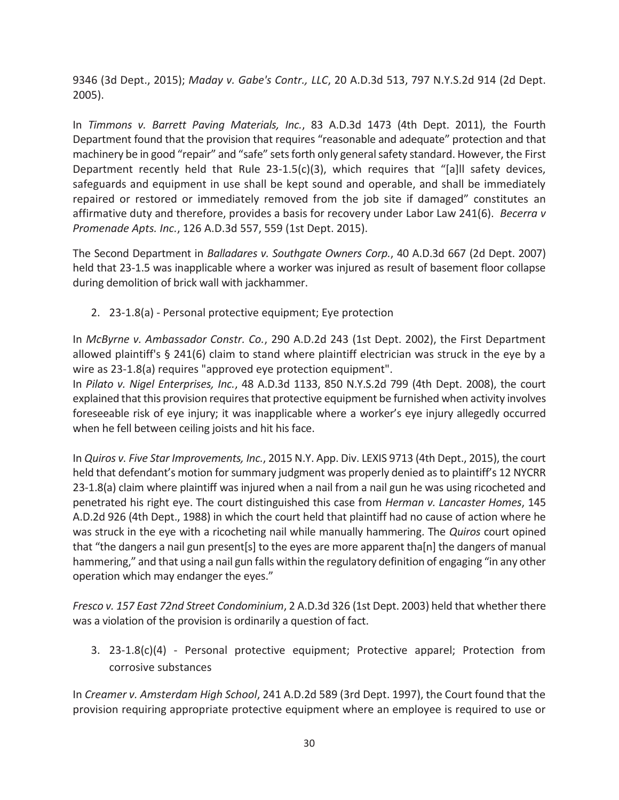9346 (3d Dept., 2015); *Maday v. Gabe's Contr., LLC*, 20 A.D.3d 513, 797 N.Y.S.2d 914 (2d Dept. 2005).

In *Timmons v. Barrett Paving Materials, Inc.*, 83 A.D.3d 1473 (4th Dept. 2011), the Fourth Department found that the provision that requires "reasonable and adequate" protection and that machinery be in good "repair" and "safe" sets forth only general safety standard. However, the First Department recently held that Rule 23-1.5(c)(3), which requires that "[a]II safety devices, safeguards and equipment in use shall be kept sound and operable, and shall be immediately repaired or restored or immediately removed from the job site if damaged" constitutes an affirmative duty and therefore, provides a basis for recovery under Labor Law 241(6). *Becerra v Promenade Apts. Inc.*, 126 A.D.3d 557, 559 (1st Dept. 2015).

The Second Department in *Balladares v. Southgate Owners Corp.*, 40 A.D.3d 667 (2d Dept. 2007) held that 23-1.5 was inapplicable where a worker was injured as result of basement floor collapse during demolition of brick wall with jackhammer.

2. 23-1.8(a) - Personal protective equipment; Eye protection

In *McByrne v. Ambassador Constr. Co.*, 290 A.D.2d 243 (1st Dept. 2002), the First Department allowed plaintiff's § 241(6) claim to stand where plaintiff electrician was struck in the eye by a wire as 23-1.8(a) requires "approved eye protection equipment".

In *Pilato v. Nigel Enterprises, Inc.*, 48 A.D.3d 1133, 850 N.Y.S.2d 799 (4th Dept. 2008), the court explained that this provision requires that protective equipment be furnished when activity involves foreseeable risk of eye injury; it was inapplicable where a worker's eye injury allegedly occurred when he fell between ceiling joists and hit his face.

In *Quiros v. Five Star Improvements, Inc.*, 2015 N.Y. App. Div. LEXIS 9713 (4th Dept., 2015), the court held that defendant's motion for summary judgment was properly denied as to plaintiff's 12 NYCRR 23-1.8(a) claim where plaintiff was injured when a nail from a nail gun he was using ricocheted and penetrated his right eye. The court distinguished this case from *Herman v. Lancaster Homes*, 145 A.D.2d 926 (4th Dept., 1988) in which the court held that plaintiff had no cause of action where he was struck in the eye with a ricocheting nail while manually hammering. The *Quiros* court opined that "the dangers a nail gun present[s] to the eyes are more apparent tha[n] the dangers of manual hammering," and that using a nail gun falls within the regulatory definition of engaging "in any other operation which may endanger the eyes."

*Fresco v. 157 East 72nd Street Condominium*, 2 A.D.3d 326 (1st Dept. 2003) held that whether there was a violation of the provision is ordinarily a question of fact.

3. 23-1.8(c)(4) - Personal protective equipment; Protective apparel; Protection from corrosive substances

In *Creamer v. Amsterdam High School*, 241 A.D.2d 589 (3rd Dept. 1997), the Court found that the provision requiring appropriate protective equipment where an employee is required to use or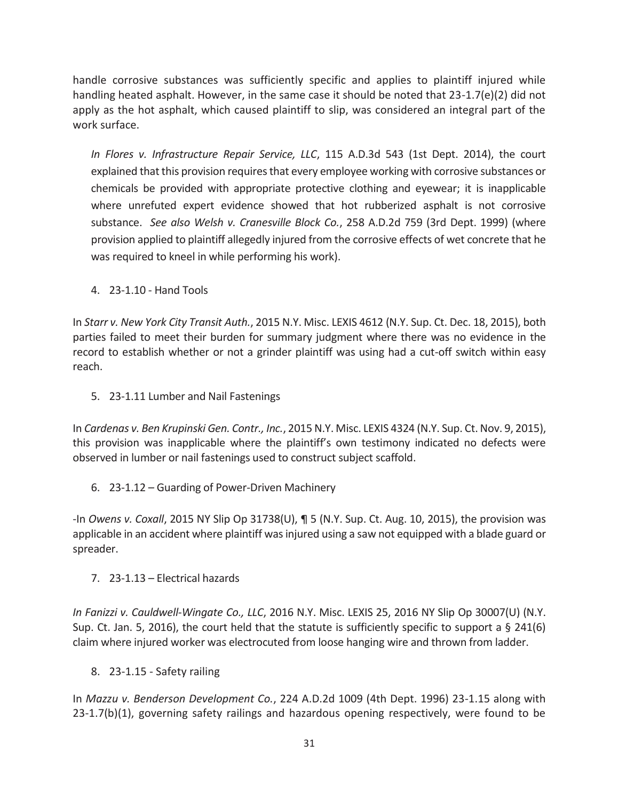handle corrosive substances was sufficiently specific and applies to plaintiff injured while handling heated asphalt. However, in the same case it should be noted that 23-1.7(e)(2) did not apply as the hot asphalt, which caused plaintiff to slip, was considered an integral part of the work surface.

*In Flores v. Infrastructure Repair Service, LLC*, 115 A.D.3d 543 (1st Dept. 2014), the court explained that this provision requires that every employee working with corrosive substances or chemicals be provided with appropriate protective clothing and eyewear; it is inapplicable where unrefuted expert evidence showed that hot rubberized asphalt is not corrosive substance. *See also Welsh v. Cranesville Block Co.*, 258 A.D.2d 759 (3rd Dept. 1999) (where provision applied to plaintiff allegedly injured from the corrosive effects of wet concrete that he was required to kneel in while performing his work).

4. 23-1.10 - Hand Tools

In *Starr v. New York City Transit Auth.*, 2015 N.Y. Misc. LEXIS 4612 (N.Y. Sup. Ct. Dec. 18, 2015), both parties failed to meet their burden for summary judgment where there was no evidence in the record to establish whether or not a grinder plaintiff was using had a cut-off switch within easy reach.

5. 23-1.11 Lumber and Nail Fastenings

In *Cardenas v. Ben Krupinski Gen. Contr., Inc.*, 2015 N.Y. Misc. LEXIS 4324 (N.Y. Sup. Ct. Nov. 9, 2015), this provision was inapplicable where the plaintiff's own testimony indicated no defects were observed in lumber or nail fastenings used to construct subject scaffold.

6. 23-1.12 – Guarding of Power-Driven Machinery

-In *Owens v. Coxall*, 2015 NY Slip Op 31738(U), ¶ 5 (N.Y. Sup. Ct. Aug. 10, 2015), the provision was applicable in an accident where plaintiff was injured using a saw not equipped with a blade guard or spreader.

7. 23-1.13 – Electrical hazards

*In Fanizzi v. Cauldwell-Wingate Co., LLC*, 2016 N.Y. Misc. LEXIS 25, 2016 NY Slip Op 30007(U) (N.Y. Sup. Ct. Jan. 5, 2016), the court held that the statute is sufficiently specific to support a § 241(6) claim where injured worker was electrocuted from loose hanging wire and thrown from ladder.

8. 23-1.15 - Safety railing

In *Mazzu v. Benderson Development Co.*, 224 A.D.2d 1009 (4th Dept. 1996) 23-1.15 along with 23-1.7(b)(1), governing safety railings and hazardous opening respectively, were found to be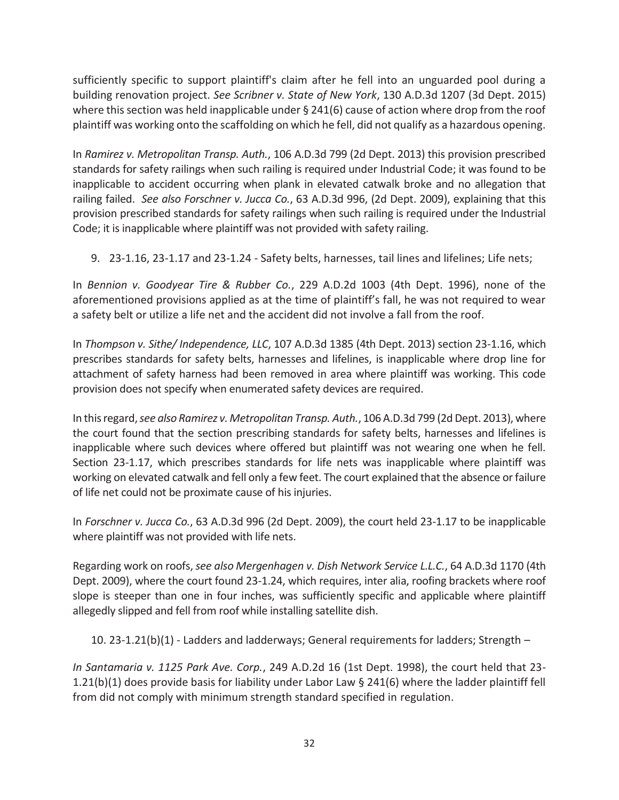sufficiently specific to support plaintiff's claim after he fell into an unguarded pool during a building renovation project. *See Scribner v. State of New York*, 130 A.D.3d 1207 (3d Dept. 2015) where this section was held inapplicable under § 241(6) cause of action where drop from the roof plaintiff was working onto the scaffolding on which he fell, did not qualify as a hazardous opening.

In *Ramirez v. Metropolitan Transp. Auth.*, 106 A.D.3d 799 (2d Dept. 2013) this provision prescribed standards for safety railings when such railing is required under Industrial Code; it was found to be inapplicable to accident occurring when plank in elevated catwalk broke and no allegation that railing failed. *See also Forschner v. Jucca Co.*, 63 A.D.3d 996, (2d Dept. 2009), explaining that this provision prescribed standards for safety railings when such railing is required under the Industrial Code; it is inapplicable where plaintiff was not provided with safety railing.

9. 23-1.16, 23-1.17 and 23-1.24 - Safety belts, harnesses, tail lines and lifelines; Life nets;

In *Bennion v. Goodyear Tire & Rubber Co.*, 229 A.D.2d 1003 (4th Dept. 1996), none of the aforementioned provisions applied as at the time of plaintiff's fall, he was not required to wear a safety belt or utilize a life net and the accident did not involve a fall from the roof.

In *Thompson v. Sithe/ Independence, LLC*, 107 A.D.3d 1385 (4th Dept. 2013) section 23-1.16, which prescribes standards for safety belts, harnesses and lifelines, is inapplicable where drop line for attachment of safety harness had been removed in area where plaintiff was working. This code provision does not specify when enumerated safety devices are required.

In this regard, *see also Ramirez v. Metropolitan Transp. Auth.*, 106 A.D.3d 799 (2d Dept. 2013), where the court found that the section prescribing standards for safety belts, harnesses and lifelines is inapplicable where such devices where offered but plaintiff was not wearing one when he fell. Section 23-1.17, which prescribes standards for life nets was inapplicable where plaintiff was working on elevated catwalk and fell only a few feet. The court explained that the absence or failure of life net could not be proximate cause of his injuries.

In *Forschner v. Jucca Co.*, 63 A.D.3d 996 (2d Dept. 2009), the court held 23-1.17 to be inapplicable where plaintiff was not provided with life nets.

Regarding work on roofs, *see also Mergenhagen v. Dish Network Service L.L.C.*, 64 A.D.3d 1170 (4th Dept. 2009), where the court found 23-1.24, which requires, inter alia, roofing brackets where roof slope is steeper than one in four inches, was sufficiently specific and applicable where plaintiff allegedly slipped and fell from roof while installing satellite dish.

10. 23-1.21(b)(1) - Ladders and ladderways; General requirements for ladders; Strength –

*In Santamaria v. 1125 Park Ave. Corp.*, 249 A.D.2d 16 (1st Dept. 1998), the court held that 23- 1.21(b)(1) does provide basis for liability under Labor Law § 241(6) where the ladder plaintiff fell from did not comply with minimum strength standard specified in regulation.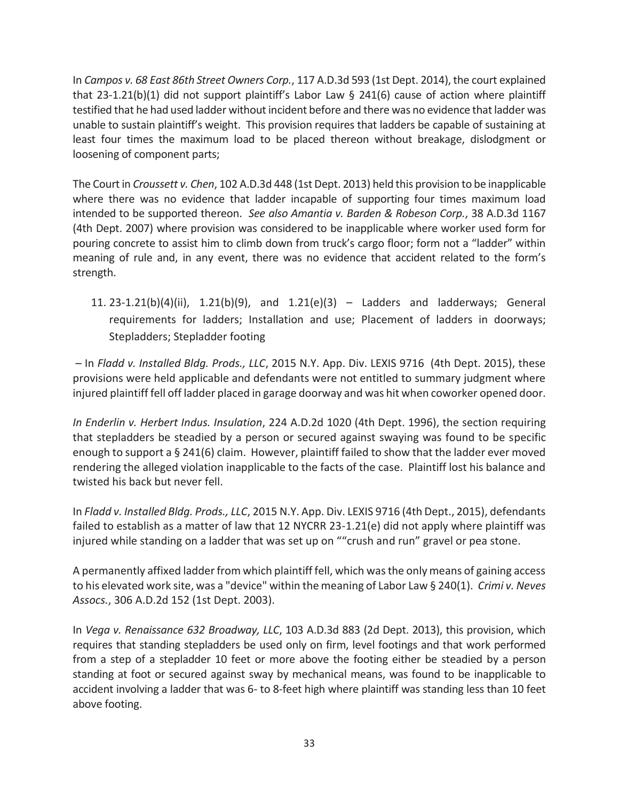In *Campos v. 68 East 86th Street Owners Corp.*, 117 A.D.3d 593 (1st Dept. 2014), the court explained that 23-1.21(b)(1) did not support plaintiff's Labor Law § 241(6) cause of action where plaintiff testified that he had used ladder without incident before and there was no evidence that ladder was unable to sustain plaintiff's weight. This provision requires that ladders be capable of sustaining at least four times the maximum load to be placed thereon without breakage, dislodgment or loosening of component parts;

The Court in *Croussett v. Chen*, 102 A.D.3d 448 (1st Dept. 2013) held this provision to be inapplicable where there was no evidence that ladder incapable of supporting four times maximum load intended to be supported thereon. *See also Amantia v. Barden & Robeson Corp.*, 38 A.D.3d 1167 (4th Dept. 2007) where provision was considered to be inapplicable where worker used form for pouring concrete to assist him to climb down from truck's cargo floor; form not a "ladder" within meaning of rule and, in any event, there was no evidence that accident related to the form's strength.

11. 23-1.21(b)(4)(ii), 1.21(b)(9), and 1.21(e)(3) – Ladders and ladderways; General requirements for ladders; Installation and use; Placement of ladders in doorways; Stepladders; Stepladder footing

 – In *Fladd v. Installed Bldg. Prods., LLC*, 2015 N.Y. App. Div. LEXIS 9716 (4th Dept. 2015), these provisions were held applicable and defendants were not entitled to summary judgment where injured plaintiff fell off ladder placed in garage doorway and was hit when coworker opened door.

*In Enderlin v. Herbert Indus. Insulation*, 224 A.D.2d 1020 (4th Dept. 1996), the section requiring that stepladders be steadied by a person or secured against swaying was found to be specific enough to support a § 241(6) claim. However, plaintiff failed to show that the ladder ever moved rendering the alleged violation inapplicable to the facts of the case. Plaintiff lost his balance and twisted his back but never fell.

In *Fladd v. Installed Bldg. Prods., LLC*, 2015 N.Y. App. Div. LEXIS 9716 (4th Dept., 2015), defendants failed to establish as a matter of law that 12 NYCRR 23-1.21(e) did not apply where plaintiff was injured while standing on a ladder that was set up on ""crush and run" gravel or pea stone.

A permanently affixed ladder from which plaintiff fell, which was the only means of gaining access to his elevated work site, was a "device" within the meaning of Labor Law § 240(1). *Crimi v. Neves Assocs.*, 306 A.D.2d 152 (1st Dept. 2003).

In *Vega v. Renaissance 632 Broadway, LLC*, 103 A.D.3d 883 (2d Dept. 2013), this provision, which requires that standing stepladders be used only on firm, level footings and that work performed from a step of a stepladder 10 feet or more above the footing either be steadied by a person standing at foot or secured against sway by mechanical means, was found to be inapplicable to accident involving a ladder that was 6- to 8-feet high where plaintiff was standing less than 10 feet above footing.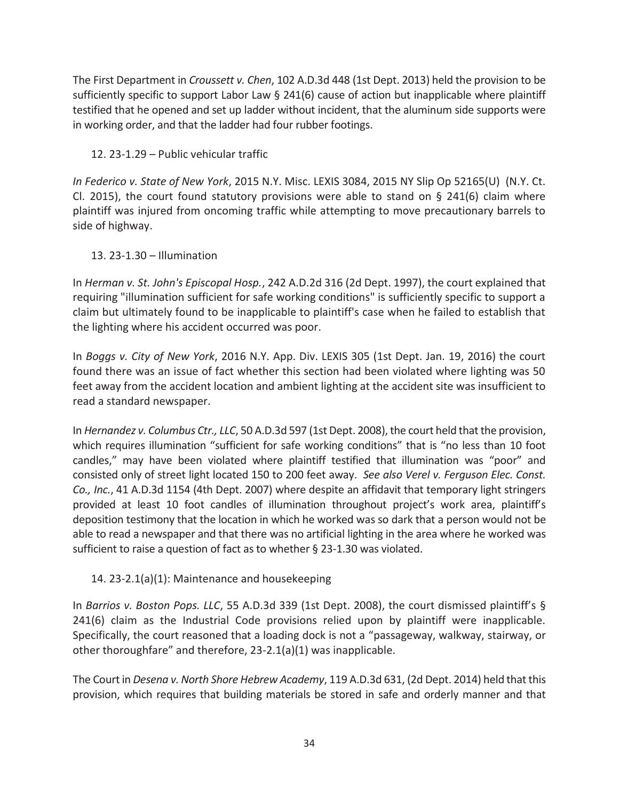The First Department in *Croussett v. Chen*, 102 A.D.3d 448 (1st Dept. 2013) held the provision to be sufficiently specific to support Labor Law § 241(6) cause of action but inapplicable where plaintiff testified that he opened and set up ladder without incident, that the aluminum side supports were in working order, and that the ladder had four rubber footings.

12. 23-1.29 – Public vehicular traffic

*In Federico v. State of New York*, 2015 N.Y. Misc. LEXIS 3084, 2015 NY Slip Op 52165(U) (N.Y. Ct. Cl. 2015), the court found statutory provisions were able to stand on § 241(6) claim where plaintiff was injured from oncoming traffic while attempting to move precautionary barrels to side of highway.

## 13. 23-1.30 – Illumination

In *Herman v. St. John's Episcopal Hosp.*, 242 A.D.2d 316 (2d Dept. 1997), the court explained that requiring "illumination sufficient for safe working conditions" is sufficiently specific to support a claim but ultimately found to be inapplicable to plaintiff's case when he failed to establish that the lighting where his accident occurred was poor.

In *Boggs v. City of New York*, 2016 N.Y. App. Div. LEXIS 305 (1st Dept. Jan. 19, 2016) the court found there was an issue of fact whether this section had been violated where lighting was 50 feet away from the accident location and ambient lighting at the accident site was insufficient to read a standard newspaper.

In *Hernandez v. Columbus Ctr., LLC*, 50 A.D.3d 597 (1st Dept. 2008), the court held that the provision, which requires illumination "sufficient for safe working conditions" that is "no less than 10 foot candles," may have been violated where plaintiff testified that illumination was "poor" and consisted only of street light located 150 to 200 feet away. *See also Verel v. Ferguson Elec. Const. Co., Inc.*, 41 A.D.3d 1154 (4th Dept. 2007) where despite an affidavit that temporary light stringers provided at least 10 foot candles of illumination throughout project's work area, plaintiff's deposition testimony that the location in which he worked was so dark that a person would not be able to read a newspaper and that there was no artificial lighting in the area where he worked was sufficient to raise a question of fact as to whether § 23-1.30 was violated.

# 14. 23-2.1(a)(1): Maintenance and housekeeping

In *Barrios v. Boston Pops. LLC*, 55 A.D.3d 339 (1st Dept. 2008), the court dismissed plaintiff's § 241(6) claim as the Industrial Code provisions relied upon by plaintiff were inapplicable. Specifically, the court reasoned that a loading dock is not a "passageway, walkway, stairway, or other thoroughfare" and therefore, 23-2.1(a)(1) was inapplicable.

The Court in *Desena v. North Shore Hebrew Academy*, 119 A.D.3d 631, (2d Dept. 2014) held that this provision, which requires that building materials be stored in safe and orderly manner and that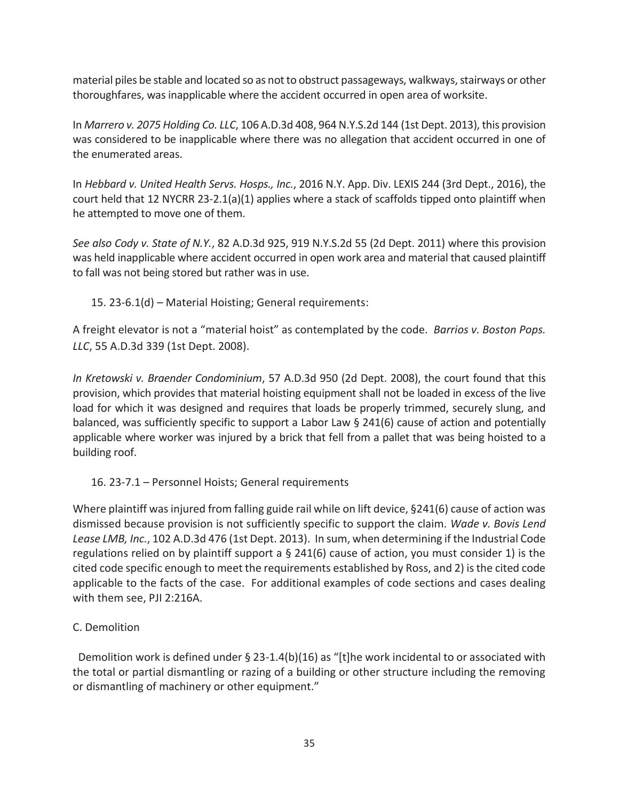material piles be stable and located so as not to obstruct passageways, walkways, stairways or other thoroughfares, was inapplicable where the accident occurred in open area of worksite.

In *Marrero v. 2075 Holding Co. LLC*, 106 A.D.3d 408, 964 N.Y.S.2d 144 (1st Dept. 2013), this provision was considered to be inapplicable where there was no allegation that accident occurred in one of the enumerated areas.

In *Hebbard v. United Health Servs. Hosps., Inc.*, 2016 N.Y. App. Div. LEXIS 244 (3rd Dept., 2016), the court held that 12 NYCRR 23-2.1(a)(1) applies where a stack of scaffolds tipped onto plaintiff when he attempted to move one of them.

*See also Cody v. State of N.Y.*, 82 A.D.3d 925, 919 N.Y.S.2d 55 (2d Dept. 2011) where this provision was held inapplicable where accident occurred in open work area and material that caused plaintiff to fall was not being stored but rather was in use.

15. 23-6.1(d) – Material Hoisting; General requirements:

A freight elevator is not a "material hoist" as contemplated by the code. *Barrios v. Boston Pops. LLC*, 55 A.D.3d 339 (1st Dept. 2008).

*In Kretowski v. Braender Condominium*, 57 A.D.3d 950 (2d Dept. 2008), the court found that this provision, which provides that material hoisting equipment shall not be loaded in excess of the live load for which it was designed and requires that loads be properly trimmed, securely slung, and balanced, was sufficiently specific to support a Labor Law § 241(6) cause of action and potentially applicable where worker was injured by a brick that fell from a pallet that was being hoisted to a building roof.

16. 23-7.1 – Personnel Hoists; General requirements

Where plaintiff was injured from falling guide rail while on lift device, §241(6) cause of action was dismissed because provision is not sufficiently specific to support the claim. *Wade v. Bovis Lend Lease LMB, Inc.*, 102 A.D.3d 476 (1st Dept. 2013). In sum, when determining if the Industrial Code regulations relied on by plaintiff support a  $\S$  241(6) cause of action, you must consider 1) is the cited code specific enough to meet the requirements established by Ross, and 2) is the cited code applicable to the facts of the case. For additional examples of code sections and cases dealing with them see, PJI 2:216A.

# C. Demolition

Demolition work is defined under  $\S$  23-1.4(b)(16) as "[t]he work incidental to or associated with the total or partial dismantling or razing of a building or other structure including the removing or dismantling of machinery or other equipment."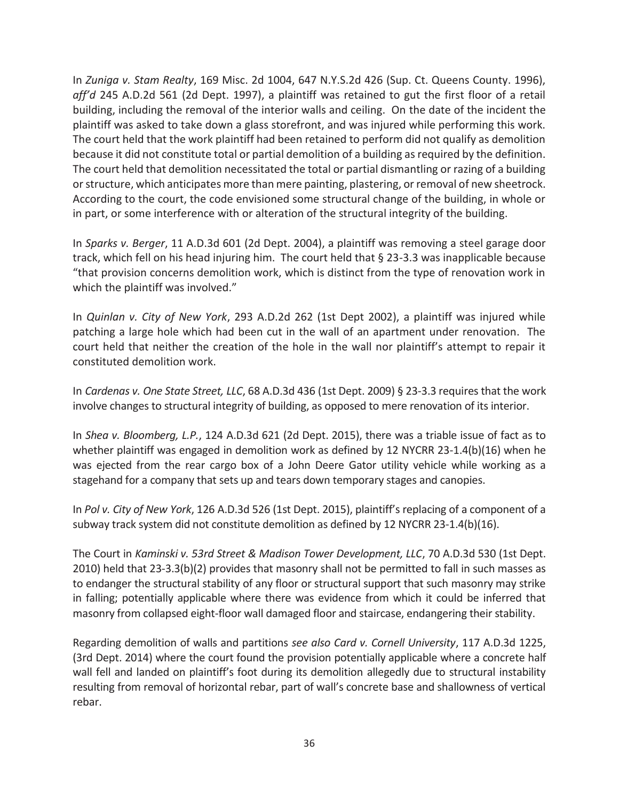In *Zuniga v. Stam Realty*, 169 Misc. 2d 1004, 647 N.Y.S.2d 426 (Sup. Ct. Queens County. 1996), *aff'd* 245 A.D.2d 561 (2d Dept. 1997), a plaintiff was retained to gut the first floor of a retail building, including the removal of the interior walls and ceiling. On the date of the incident the plaintiff was asked to take down a glass storefront, and was injured while performing this work. The court held that the work plaintiff had been retained to perform did not qualify as demolition because it did not constitute total or partial demolition of a building as required by the definition. The court held that demolition necessitated the total or partial dismantling or razing of a building or structure, which anticipates more than mere painting, plastering, or removal of new sheetrock. According to the court, the code envisioned some structural change of the building, in whole or in part, or some interference with or alteration of the structural integrity of the building.

In *Sparks v. Berger*, 11 A.D.3d 601 (2d Dept. 2004), a plaintiff was removing a steel garage door track, which fell on his head injuring him. The court held that § 23-3.3 was inapplicable because "that provision concerns demolition work, which is distinct from the type of renovation work in which the plaintiff was involved."

In *Quinlan v. City of New York*, 293 A.D.2d 262 (1st Dept 2002), a plaintiff was injured while patching a large hole which had been cut in the wall of an apartment under renovation. The court held that neither the creation of the hole in the wall nor plaintiff's attempt to repair it constituted demolition work.

In *Cardenas v. One State Street, LLC*, 68 A.D.3d 436 (1st Dept. 2009) § 23-3.3 requires that the work involve changes to structural integrity of building, as opposed to mere renovation of its interior.

In *Shea v. Bloomberg, L.P.*, 124 A.D.3d 621 (2d Dept. 2015), there was a triable issue of fact as to whether plaintiff was engaged in demolition work as defined by 12 NYCRR 23-1.4(b)(16) when he was ejected from the rear cargo box of a John Deere Gator utility vehicle while working as a stagehand for a company that sets up and tears down temporary stages and canopies.

In *Pol v. City of New York*, 126 A.D.3d 526 (1st Dept. 2015), plaintiff's replacing of a component of a subway track system did not constitute demolition as defined by 12 NYCRR 23-1.4(b)(16).

The Court in *Kaminski v. 53rd Street & Madison Tower Development, LLC*, 70 A.D.3d 530 (1st Dept. 2010) held that 23-3.3(b)(2) provides that masonry shall not be permitted to fall in such masses as to endanger the structural stability of any floor or structural support that such masonry may strike in falling; potentially applicable where there was evidence from which it could be inferred that masonry from collapsed eight-floor wall damaged floor and staircase, endangering their stability.

Regarding demolition of walls and partitions *see also Card v. Cornell University*, 117 A.D.3d 1225, (3rd Dept. 2014) where the court found the provision potentially applicable where a concrete half wall fell and landed on plaintiff's foot during its demolition allegedly due to structural instability resulting from removal of horizontal rebar, part of wall's concrete base and shallowness of vertical rebar.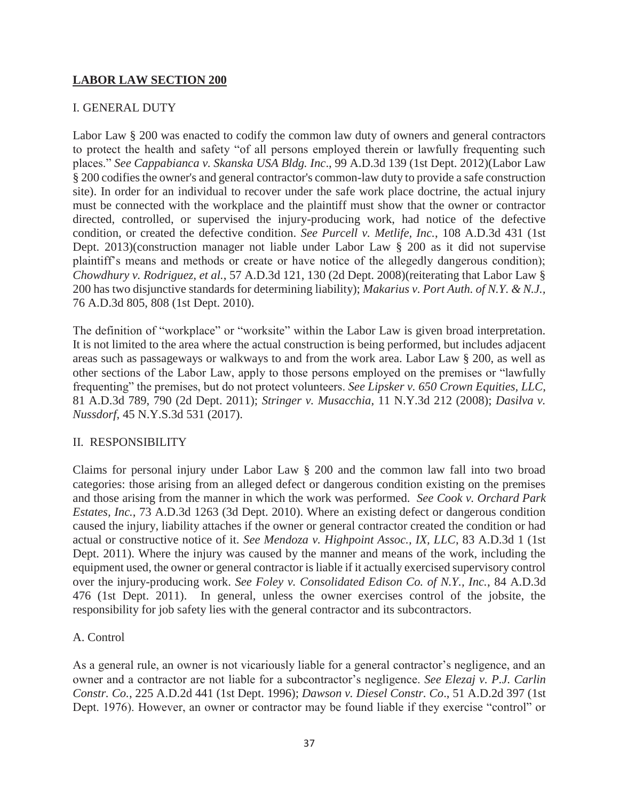## **LABOR LAW SECTION 200**

#### I. GENERAL DUTY

Labor Law § 200 was enacted to codify the common law duty of owners and general contractors to protect the health and safety "of all persons employed therein or lawfully frequenting such places." *See Cappabianca v. Skanska USA Bldg. Inc*., 99 A.D.3d 139 (1st Dept. 2012)(Labor Law § 200 codifies the owner's and general contractor's common-law duty to provide a safe construction site). In order for an individual to recover under the safe work place doctrine, the actual injury must be connected with the workplace and the plaintiff must show that the owner or contractor directed, controlled, or supervised the injury-producing work, had notice of the defective condition, or created the defective condition. *See Purcell v. Metlife, Inc.*, 108 A.D.3d 431 (1st Dept. 2013)(construction manager not liable under Labor Law § 200 as it did not supervise plaintiff's means and methods or create or have notice of the allegedly dangerous condition); *Chowdhury v. Rodriguez, et al.*, 57 A.D.3d 121, 130 (2d Dept. 2008)(reiterating that Labor Law § 200 has two disjunctive standards for determining liability); *Makarius v. Port Auth. of N.Y. & N.J.,* 76 A.D.3d 805, 808 (1st Dept. 2010).

The definition of "workplace" or "worksite" within the Labor Law is given broad interpretation. It is not limited to the area where the actual construction is being performed, but includes adjacent areas such as passageways or walkways to and from the work area. Labor Law § 200, as well as other sections of the Labor Law, apply to those persons employed on the premises or "lawfully frequenting" the premises, but do not protect volunteers. *See Lipsker v. 650 Crown Equities, LLC*, 81 A.D.3d 789, 790 (2d Dept. 2011); *Stringer v. Musacchia*, 11 N.Y.3d 212 (2008); *Dasilva v. Nussdorf*, 45 N.Y.S.3d 531 (2017).

#### II. RESPONSIBILITY

Claims for personal injury under Labor Law § 200 and the common law fall into two broad categories: those arising from an alleged defect or dangerous condition existing on the premises and those arising from the manner in which the work was performed. *See Cook v. Orchard Park Estates, Inc.*, 73 A.D.3d 1263 (3d Dept. 2010). Where an existing defect or dangerous condition caused the injury, liability attaches if the owner or general contractor created the condition or had actual or constructive notice of it. *See Mendoza v. Highpoint Assoc., IX, LLC*, 83 A.D.3d 1 (1st Dept. 2011). Where the injury was caused by the manner and means of the work, including the equipment used, the owner or general contractor is liable if it actually exercised supervisory control over the injury-producing work. *See Foley v. Consolidated Edison Co. of N.Y., Inc.*, 84 A.D.3d 476 (1st Dept. 2011). In general, unless the owner exercises control of the jobsite, the responsibility for job safety lies with the general contractor and its subcontractors.

#### A. Control

As a general rule, an owner is not vicariously liable for a general contractor's negligence, and an owner and a contractor are not liable for a subcontractor's negligence. *See Elezaj v. P.J. Carlin Constr. Co.*, 225 A.D.2d 441 (1st Dept. 1996); *Dawson v. Diesel Constr. Co*., 51 A.D.2d 397 (1st Dept. 1976). However, an owner or contractor may be found liable if they exercise "control" or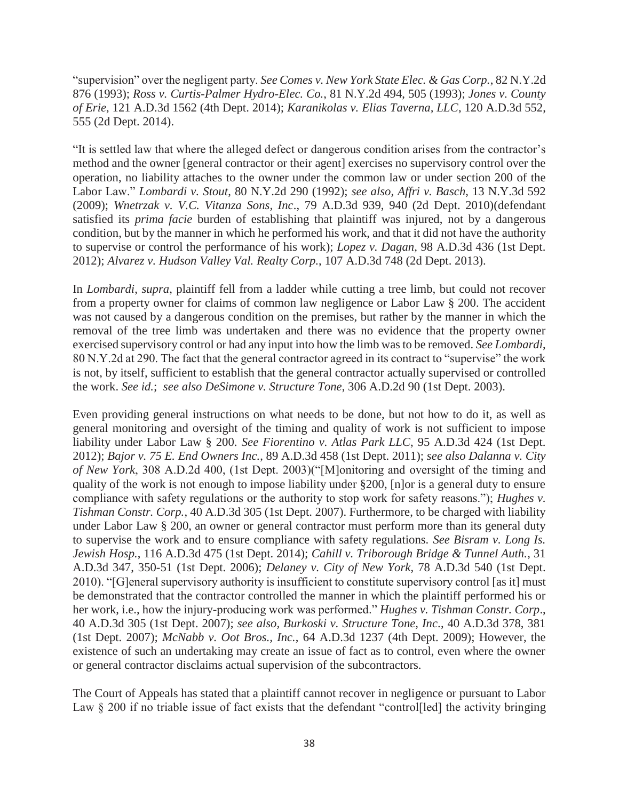"supervision" over the negligent party. *See Comes v. New York State Elec. & Gas Corp.*, 82 N.Y.2d 876 (1993); *Ross v. Curtis-Palmer Hydro-Elec. Co.*, 81 N.Y.2d 494, 505 (1993); *Jones v. County of Erie*, 121 A.D.3d 1562 (4th Dept. 2014); *Karanikolas v. Elias Taverna, LLC*, 120 A.D.3d 552, 555 (2d Dept. 2014).

"It is settled law that where the alleged defect or dangerous condition arises from the contractor's method and the owner [general contractor or their agent] exercises no supervisory control over the operation, no liability attaches to the owner under the common law or under section 200 of the Labor Law." *Lombardi v. Stout*, 80 N.Y.2d 290 (1992); *see also, Affri v. Basch*, 13 N.Y.3d 592 (2009); *Wnetrzak v. V.C. Vitanza Sons, Inc*., 79 A.D.3d 939, 940 (2d Dept. 2010)(defendant satisfied its *prima facie* burden of establishing that plaintiff was injured, not by a dangerous condition, but by the manner in which he performed his work, and that it did not have the authority to supervise or control the performance of his work); *Lopez v. Dagan*, 98 A.D.3d 436 (1st Dept. 2012); *Alvarez v. Hudson Valley Val. Realty Corp.*, 107 A.D.3d 748 (2d Dept. 2013).

In *Lombardi*, *supra*, plaintiff fell from a ladder while cutting a tree limb, but could not recover from a property owner for claims of common law negligence or Labor Law § 200. The accident was not caused by a dangerous condition on the premises, but rather by the manner in which the removal of the tree limb was undertaken and there was no evidence that the property owner exercised supervisory control or had any input into how the limb was to be removed. *See Lombardi*, 80 N.Y.2d at 290. The fact that the general contractor agreed in its contract to "supervise" the work is not, by itself, sufficient to establish that the general contractor actually supervised or controlled the work. *See id.*; *see also DeSimone v. Structure Tone*, 306 A.D.2d 90 (1st Dept. 2003).

Even providing general instructions on what needs to be done, but not how to do it, as well as general monitoring and oversight of the timing and quality of work is not sufficient to impose liability under Labor Law § 200. *See Fiorentino v. Atlas Park LLC*, 95 A.D.3d 424 (1st Dept. 2012); *Bajor v. 75 E. End Owners Inc.*, 89 A.D.3d 458 (1st Dept. 2011); *see also Dalanna v. City of New York*, 308 A.D.2d 400, (1st Dept. 2003)("[M]onitoring and oversight of the timing and quality of the work is not enough to impose liability under §200, [n]or is a general duty to ensure compliance with safety regulations or the authority to stop work for safety reasons."); *Hughes v. Tishman Constr. Corp.*, 40 A.D.3d 305 (1st Dept. 2007). Furthermore, to be charged with liability under Labor Law § 200, an owner or general contractor must perform more than its general duty to supervise the work and to ensure compliance with safety regulations. *See Bisram v. Long Is. Jewish Hosp.*, 116 A.D.3d 475 (1st Dept. 2014); *Cahill v. Triborough Bridge & Tunnel Auth.*, 31 A.D.3d 347, 350-51 (1st Dept. 2006); *Delaney v. City of New York*, 78 A.D.3d 540 (1st Dept. 2010). "[G]eneral supervisory authority is insufficient to constitute supervisory control [as it] must be demonstrated that the contractor controlled the manner in which the plaintiff performed his or her work, i.e., how the injury-producing work was performed." *Hughes v. Tishman Constr. Corp*., 40 A.D.3d 305 (1st Dept. 2007); *see also, Burkoski v. Structure Tone, Inc*., 40 A.D.3d 378, 381 (1st Dept. 2007); *McNabb v. Oot Bros., Inc.*, 64 A.D.3d 1237 (4th Dept. 2009); However, the existence of such an undertaking may create an issue of fact as to control, even where the owner or general contractor disclaims actual supervision of the subcontractors.

The Court of Appeals has stated that a plaintiff cannot recover in negligence or pursuant to Labor Law § 200 if no triable issue of fact exists that the defendant "control<sup>[1</sup>led] the activity bringing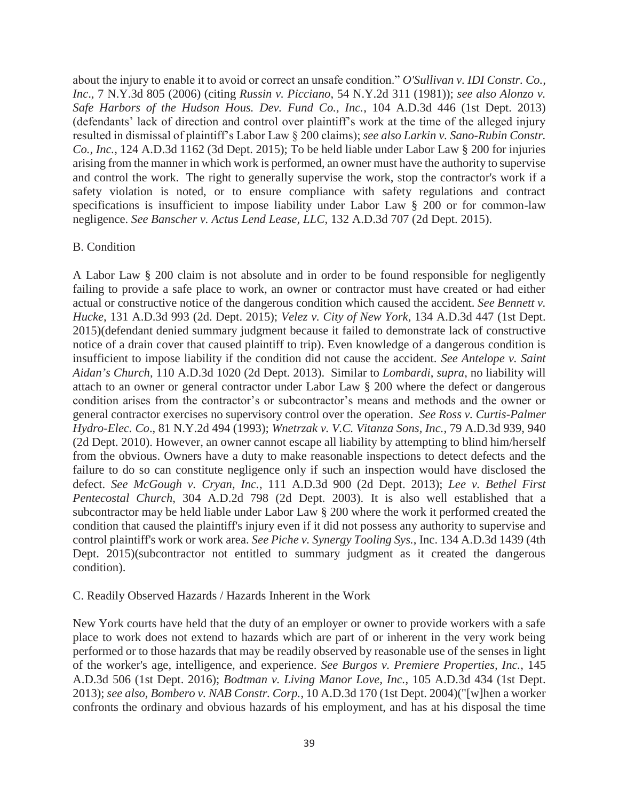about the injury to enable it to avoid or correct an unsafe condition." *O'Sullivan v. IDI Constr. Co., Inc*., 7 N.Y.3d 805 (2006) (citing *Russin v. Picciano*, 54 N.Y.2d 311 (1981)); *see also Alonzo v. Safe Harbors of the Hudson Hous. Dev. Fund Co., Inc.*, 104 A.D.3d 446 (1st Dept. 2013) (defendants' lack of direction and control over plaintiff's work at the time of the alleged injury resulted in dismissal of plaintiff's Labor Law § 200 claims); *see also Larkin v. Sano-Rubin Constr. Co., Inc.*, 124 A.D.3d 1162 (3d Dept. 2015); To be held liable under Labor Law § 200 for injuries arising from the manner in which work is performed, an owner must have the authority to supervise and control the work. The right to generally supervise the work, stop the contractor's work if a safety violation is noted, or to ensure compliance with safety regulations and contract specifications is insufficient to impose liability under Labor Law § 200 or for common-law negligence. *See Banscher v. Actus Lend Lease, LLC*, 132 A.D.3d 707 (2d Dept. 2015).

#### B. Condition

A Labor Law § 200 claim is not absolute and in order to be found responsible for negligently failing to provide a safe place to work, an owner or contractor must have created or had either actual or constructive notice of the dangerous condition which caused the accident. *See Bennett v. Hucke*, 131 A.D.3d 993 (2d. Dept. 2015); *Velez v. City of New York*, 134 A.D.3d 447 (1st Dept. 2015)(defendant denied summary judgment because it failed to demonstrate lack of constructive notice of a drain cover that caused plaintiff to trip). Even knowledge of a dangerous condition is insufficient to impose liability if the condition did not cause the accident. *See Antelope v. Saint Aidan's Church*, 110 A.D.3d 1020 (2d Dept. 2013). Similar to *Lombardi*, *supra*, no liability will attach to an owner or general contractor under Labor Law § 200 where the defect or dangerous condition arises from the contractor's or subcontractor's means and methods and the owner or general contractor exercises no supervisory control over the operation. *See Ross v. Curtis-Palmer Hydro-Elec. Co*., 81 N.Y.2d 494 (1993); *Wnetrzak v. V.C. Vitanza Sons, Inc.*, 79 A.D.3d 939, 940 (2d Dept. 2010). However, an owner cannot escape all liability by attempting to blind him/herself from the obvious. Owners have a duty to make reasonable inspections to detect defects and the failure to do so can constitute negligence only if such an inspection would have disclosed the defect. *See McGough v. Cryan, Inc.*, 111 A.D.3d 900 (2d Dept. 2013); *Lee v. Bethel First Pentecostal Church*, 304 A.D.2d 798 (2d Dept. 2003). It is also well established that a subcontractor may be held liable under Labor Law § 200 where the work it performed created the condition that caused the plaintiff's injury even if it did not possess any authority to supervise and control plaintiff's work or work area. *See Piche v. Synergy Tooling Sys.*, Inc. 134 A.D.3d 1439 (4th Dept. 2015)(subcontractor not entitled to summary judgment as it created the dangerous condition).

#### C. Readily Observed Hazards / Hazards Inherent in the Work

New York courts have held that the duty of an employer or owner to provide workers with a safe place to work does not extend to hazards which are part of or inherent in the very work being performed or to those hazards that may be readily observed by reasonable use of the senses in light of the worker's age, intelligence, and experience. *See Burgos v. Premiere Properties, Inc.*, 145 A.D.3d 506 (1st Dept. 2016); *Bodtman v. Living Manor Love, Inc.*, 105 A.D.3d 434 (1st Dept. 2013); *see also, Bombero v. NAB Constr. Corp.*, 10 A.D.3d 170 (1st Dept. 2004)("[w]hen a worker confronts the ordinary and obvious hazards of his employment, and has at his disposal the time